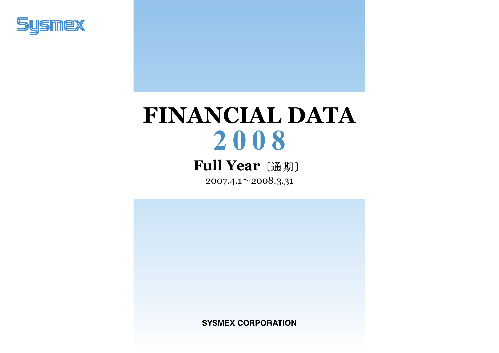

# **FINANCIAL DATA 2 0 0 8**

## **Full Year**〔通期〕

2007.4.1 $\sim$ 2008.3.31

**SYSMEX CORPORATION**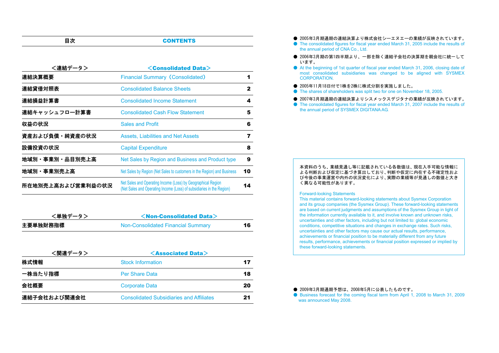#### 目次**CONTENTS**

| <連結データ>           | <consolidated data=""></consolidated>                                                                                                 |    |
|-------------------|---------------------------------------------------------------------------------------------------------------------------------------|----|
| 連結決算概要            | <b>Financial Summary (Consolidated)</b>                                                                                               | 1  |
| 連結貸借対照表           | <b>Consolidated Balance Sheets</b>                                                                                                    | 2  |
| 連結損益計算書           | <b>Consolidated Income Statement</b>                                                                                                  | 4  |
| 連結キャッシュフロ一計算書     | <b>Consolidated Cash Flow Statement</b>                                                                                               | 5  |
| 収益の状況             | <b>Sales and Profit</b>                                                                                                               | 6  |
| 資産および負債・純資産の状況    | <b>Assets, Liabilities and Net Assets</b>                                                                                             | 7  |
| 設備投資の状況           | <b>Capital Expenditure</b>                                                                                                            | 8  |
| 地域別・事業別・品目別売上高    | Net Sales by Region and Business and Product type                                                                                     | 9  |
| 地域別・事業別売上高        | Net Sales by Region (Net Sales to customers in the Region) and Business                                                               | 10 |
| 所在地別売上高および営業利益の状況 | Net Sales and Operating Income (Loss) by Geographical Region<br>(Net Sales and Operating Income (Loss) of subsidiaries in the Region) | 14 |

| <単独データ>  | $\leq$ Non-Consolidated Data $\geq$ |    |
|----------|-------------------------------------|----|
| 主要単独財務指標 | Non-Consolidated Financial Summary  | 16 |

| <関連データ>      | $\leq$ Associated Data $>$                      |    |  |  |  |  |  |
|--------------|-------------------------------------------------|----|--|--|--|--|--|
| 株式情報         | <b>Stock Information</b>                        | 17 |  |  |  |  |  |
| 一株当たり指標      | <b>Per Share Data</b>                           | 18 |  |  |  |  |  |
| 会社概要         | <b>Corporate Data</b>                           | 20 |  |  |  |  |  |
| 連結子会社および関連会社 | <b>Consolidated Subsidiaries and Affiliates</b> | 21 |  |  |  |  |  |

- 2005年3月期通期の連結決算より株式会社シーエヌエーの業績が反映されています。
- The consolidated figures for fiscal year ended March 31, 2005 include the results of the annual period of CNA Co., Ltd.
- 2006年3月期の第1四半期より、一部を除く連結子会社の決算期を親会社に統一して います。
- At the beginning of 1st quarter of fiscal year ended March 31, 2006, closing date of most consolidated subsidiaries was changed to be aligned with SYSMEX **CORPORATION**
- 2005年11月18日付で1株を2株に株式分割を実施しました。
- The shares of shareholders was split two for one on November 18, 2005.
- 2007年3月期通期の連結決算よりシスメックスデジタナの業績が反映されています。
- The consolidated figures for fiscal year ended March 31, 2007 include the results of the annual period of SYSMEX DIGITANA AG.

#### 本資料のうち、業績見通し等に記載されている各数値は、現在入手可能な情報に よる判断および仮定に基づき算出しており、判断や仮定に内在する不確定性およ び今後の事業運営や内外の状況変化により、実際の業績等が見通しの数値と大きく異なる可能性があります。

#### Forward-looking Statements

This material contains forward-looking statements about Sysmex Corporation and its group companies (the Sysmex Group). These forward-looking statements are based on current judgments and assumptions of the Sysmex Group in light of the information currently available to it, and involve known and unknown risks, uncertainties and other factors, including but not limited to: global economic conditions, competitive situations and changes in exchange rates. Such risks, uncertainties and other factors may cause our actual results, performance, achievements or financial position to be materially different from any future results, performance, achievements or financial position expressed or implied by these forward-looking statements.

#### ● 2009年3月期通期予想は、2008年5月に公表したものです。

● Business forecast for the coming fiscal term from April 1, 2008 to March 31, 2009 was announced May 2008.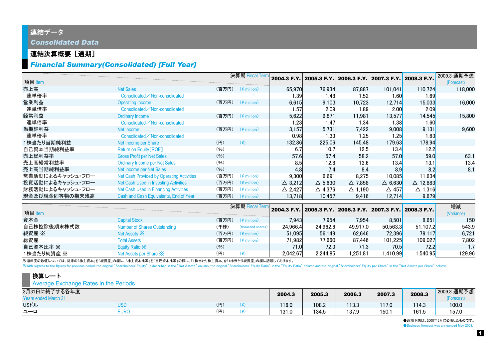## 連結データ *Consolidated Data*

#### 連結決算概要[通期]

#### *Financial Summary(Consolidated) [Full Year]*

|                  |                                           |       | 決算期 Fiscal Tern |                   | 2004.3 F.Y. 2005.3 F.Y. 2006.3 F.Y. 2007.3 F.Y. 2008.3 F.Y. |                   |                                                 |                    | 2009.3 通期予想 |
|------------------|-------------------------------------------|-------|-----------------|-------------------|-------------------------------------------------------------|-------------------|-------------------------------------------------|--------------------|-------------|
| 項目 Item          |                                           |       |                 |                   |                                                             |                   |                                                 |                    | (Forecast)  |
| 売上高              | <b>Net Sales</b>                          | (百万円) | $(*$ million)   | 65,970            | 76,934                                                      | 87,887            | 101,041                                         | 110,724            | 118,000     |
| 連単倍率             | Consolidated / Non-consolidated           |       |                 | 1.39              | 1.48                                                        | 1.52              | 1.60                                            | 1.69               |             |
| 営業利益             | <b>Operating Income</b>                   | (百万円) | $(*$ million)   | 6,615             | 9,103                                                       | 10,723            | 12,714                                          | 15,033             | 16,000      |
| 連単倍率             | Consolidated / Non-consolidated           |       |                 | 1.57              | 2.09                                                        | 1.89              | 2.00                                            | 2.09               |             |
| 経常利益             | Ordinary Income                           | (百万円) | $(*$ million)   | 5,622             | 9,871                                                       | 11.981            | 13,577                                          | 14,545             | 15,800      |
| 連単倍率             | Consolidated / Non-consolidated           |       |                 | 1.23              | 1.47                                                        | 1.34              | 1.38                                            | 1.60               |             |
| 当期純利益            | Net Income                                | (百万円) | $(*$ million)   | 3,157             | 5,731                                                       | 7,422             | 9,008                                           | 9,131              | 9,600       |
| 連単倍率             | Consolidated / Non-consolidated           |       |                 | 0.98              | 1.33                                                        | 1.25              | 1.25                                            | 1.63               |             |
| 1株当たり当期純利益       | Net Income per Share                      | (H)   | $(\c{4})$       | 132.86            | 225.06                                                      | 145.48            | 179.63                                          | 178.94             |             |
| 自己資本当期純利益率       | Return on Equity [ROE]                    | (96)  |                 | 6.7               | 10.7                                                        | 12.5              | 13.4                                            | 12.2               |             |
| 売上総利益率           | <b>Gross Profit per Net Sales</b>         | (96)  |                 | 57.6              | 57.4                                                        | 58.2              | 57.0                                            | 59.0               | 63.1        |
| 売上高経常利益率         | <b>Ordinary Income per Net Sales</b>      | (96)  |                 | 8.5               | 12.8                                                        | 13.6              | 13.4                                            | 13.1               | 13.4        |
| 売上高当期純利益率        | Net Income per Net Sales                  | (96)  |                 | 4.8               | 7.4                                                         | 8.4               | 8.9                                             | 8.2                | 8.1         |
| 営業活動によるキャッシュ・フロー | Net Cash Provided by Operating Activities | (百万円) | $(*$ million)   | 9,300             | 6,691                                                       | 8,275             | 10,085                                          | 11,634             |             |
| 投資活動によるキャッシュ・フロー | Net Cash Used in Investing Activities     | (百万円) | $(*)$ million)  | $\triangle$ 3.212 | $\triangle$ 5,630                                           | $\triangle$ 7,858 | $\triangle$ 6,630                               | $\triangle$ 12,883 |             |
| 財務活動によるキャッシュ・フロー | Net Cash Used in Financing Activities     | (百万円) | $(*$ million)   | $\triangle$ 2,427 | $\triangle$ 4,376                                           | $\triangle$ 1,190 | $\triangle$ 457                                 | $\triangle$ 1,316  |             |
| 現金及び現金同等物の期末残高   | Cash and Cash Equivalents, End of Year    | (百万円) | $(*$ million)   | 13.718            | 10.457                                                      | 9,416             | 12,714                                          | 9,679              |             |
|                  |                                           |       | 決算期 Fiscal Terr |                   |                                                             |                   |                                                 |                    | 増減          |
| 項目 Item          |                                           |       |                 | 2004.3 F.Y.       |                                                             |                   | 2005.3 F.Y. 2006.3 F.Y. 2007.3 F.Y. 2008.3 F.Y. |                    | (Variance)  |

|             |                              |       | $221221 - 2222$         |          |          |          |               | 2004.3 F.Y.   2005.3 F.Y.   2006.3 F.Y.   2007.3 F.Y.   2008.3 F.Y. | $  \sim$   |
|-------------|------------------------------|-------|-------------------------|----------|----------|----------|---------------|---------------------------------------------------------------------|------------|
| 項目 Item     |                              |       |                         |          |          |          |               |                                                                     | (Variance) |
| 資本金         | <b>Capital Stock</b>         | (百万円) | $(\frac{4}{3})$ million | 7,943    | 7.954    | 7,954    | 8.501         | 8,651                                                               | 150        |
| 自己株控除後期末株式数 | Number of Shares Outstanding | (千株)  | (thousand shares)       | 24.966.4 | 24.962.6 | 49.917.0 | 50.563.3      | 51.107.2                                                            | 543.9      |
| 純資産 ※       | Net Assets X                 | (百万円) | $(\frac{4}{3})$ million | 51,095   | 56.149   | 62.646   | <b>72.396</b> | 79.117                                                              | 6,721      |
| 総資産         | <b>Total Assets</b>          | (百万円) | $(\frac{4}{3})$ million | 71.982   | 77,660   | 87.446   | 101.225       | 109.027                                                             | 7.802      |
| 自己資本比率 ※    | Equity Ratio X               | (96)  |                         | 71.0     | 72.3     | 71.3     | 70.5          | 72.2                                                                | 1.7        |
| 1株当たり純資産 ※  | Net Assets per Share X       | (円)   |                         | 2.042.67 | 2.244.85 | 1.251.81 | .410.99       | 1.540.95                                                            | 129.96     |

※過年度の数値については、従来の「株主資本」を「純資産」の欄に、「株主資本比率」を「自己資本比率」の欄に、「1株当たり株主資本」を「1株当たり純資産」の欄に記載しております。

With regards to the figures for previous period, the original "Shareholders' Equity" is described in the "Net Assets" column, the original "Shareholders' Equity Ratio" in the "Equity Ratio" column and the original "Shareho

#### 換算レート

#### **Average Exchange Rates in the Periods**

| 3月31日に終了する各年度<br><b>Years ended March 31</b> |      |     | 2004.3 | 2005.3 | 2006.3 | 2007.3 | 2008.3 | 2009.3 通期予想<br>(Forecast) |
|----------------------------------------------|------|-----|--------|--------|--------|--------|--------|---------------------------|
| <b>USドル</b>                                  | JSI  | (円) | 116.0  | 108.2  | 113.3  | 117.0  | 114.3  | 100.0                     |
| ユーロ                                          | Eurc | (円) | 131.0  | 134.5  | 137.9  | 150.1  | 161.5  | 157.0                     |

●通期予想は、2008年5月に公表したものです。 ●Business forecast was announced May 2008.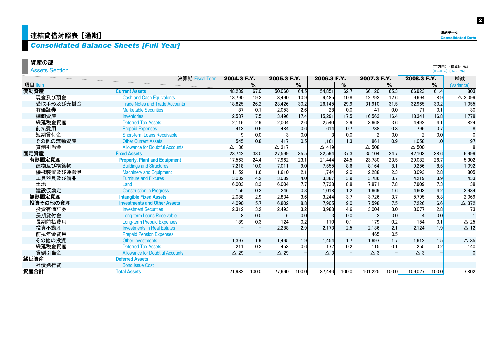## | 連結貸借対照表 [通期]

## *Consolidated Balance Sheets [Full Year]*

#### 資産の部

Assets Section

|           | 決算期 Fiscal Term                        | 2004.3 F.Y.    |               | 2005.3 F.Y.    |                          | 2006.3 F.Y.   |       | 2007.3 F.Y.     |       | 2008.3 F.Y.     |       | 増減                       |
|-----------|----------------------------------------|----------------|---------------|----------------|--------------------------|---------------|-------|-----------------|-------|-----------------|-------|--------------------------|
| 項目 Item   |                                        |                | $\frac{9}{6}$ |                | $\overline{\frac{9}{6}}$ |               | %     |                 | $\%$  |                 | %     | (Variance)               |
| 流動資産      | <b>Current Assets</b>                  | 48,239         | 67.0          | 50,060         | 64.5                     | 54.851        | 62.7  | 66.120          | 65.3  | 66,923          | 61.4  | 803                      |
| 現金及び預金    | <b>Cash and Cash Equivalents</b>       | 13,790         | 19.2          | 8.490          | 10.9                     | 9,485         | 10.8  | 12,793          | 12.6  | 9,694           | 8.9   | $\triangle$ 3,099        |
| 受取手形及び売掛金 | <b>Trade Notes and Trade Accounts</b>  | 18,825         | 26.2          | 23,426         | 30.2                     | 26,145        | 29.9  | 31,910          | 31.5  | 32,965          | 30.2  | 1,055                    |
| 有価証券      | <b>Marketable Securities</b>           | 87             | 0.1           | 2.053          | 2.6                      | 28            | 0.0   | 41              | 0.0   |                 | 0.1   | 30                       |
| 棚卸資産      | <b>Inventories</b>                     | 12,587         | 17.5          | 13.496         | 17.4                     | 15,291        | 17.5  | 16.563          | 16.4  | 18,341          | 16.8  | 1.778                    |
| 繰延税金資産    | <b>Deferred Tax Assets</b>             | 2,116          | 2.9           | 2,004          | 2.6                      | 2,540         | 2.9   | 3,668           | 3.6   | 4,492           | 4.1   | 824                      |
| 前払費用      | <b>Prepaid Expenses</b>                | 413            | 0.6           | 484            | 0.6                      | 614           | 0.7   | 788             | 0.8   | 796             | 0.7   | 8                        |
| 短期貸付金     | <b>Short-term Loans Receivable</b>     |                | 0.0           |                | 0.0                      |               | 0.0   |                 | 0.0   |                 | 0.0   |                          |
| その他の流動資産  | <b>Other Current Assets</b>            | 545            | 0.8           | 417            | 0.5                      | 1.161         | 1.3   | 861             | 0.9   | 1.058           | 1.0   | 197                      |
| 貸倒引当金     | <b>Allowance for Doubtful Accounts</b> | $\Delta$ 136   |               | $\Delta$ 317   |                          | $\Delta$ 419  |       | $\triangle$ 508 |       | $\triangle$ 500 |       |                          |
| 固定資産      | <b>Fixed Assets</b>                    | 23,742         | 33.0          | 27,599         | 35.5                     | 32,594        | 37.3  | 35,104          | 34.7  | 42,103          | 38.6  | 6,999                    |
| 有形固定資産    | <b>Property, Plant and Equipment</b>   | 17,563         | 24.4          | 17,962         | 23.1                     | 21,444        | 24.5  | 23,780          | 23.5  | 29,082          | 26.7  | 5,302                    |
| 建物及び構築物   | <b>Buildings and Structures</b>        | 7,218          | 10.0          | 7,011          | 9.0                      | 7,555         | 8.6   | 8.164           | 8.1   | 9,256           | 8.5   | 1,092                    |
| 機械装置及び運搬具 | <b>Machinery and Equipment</b>         | 1,152          | 1.6           | 1.610          | 2.1                      | 1.744         | 2.0   | 2.288           | 2.3   | 3.093           | 2.8   | 805                      |
| 工具器具及び備品  | <b>Furniture and Fixtures</b>          | 3,032          | 4.2           | 3,089          | 4.0                      | 3,387         | 3.9   | 3,786           | 3.7   | 4,219           | 3.9   | 433                      |
| 土地        | Land                                   | 6,003          | 8.3           | 6,004          | 7.7                      | 7,738         | 8.8   | 7,871           | 7.8   | 7,909           | 7.3   | 38                       |
| 建設仮勘定     | <b>Construction in Progress</b>        | 156            | 0.2           | 246            | 0.3                      | 1.018         | 1.2   | 1,669           | 1.6   | 4,603           | 4.2   | 2.934                    |
| 無形固定資産    | <b>Intangible Fixed Assets</b>         | 2,088          | 2.9           | 2,834          | 3.6                      | 3,244         | 3.7   | 3,726           | 3.7   | 5,795           | 5.3   | 2,069                    |
| 投資その他の資産  | <b>Investments and Other Assets</b>    | 4,090          | 5.7           | 6,802          | 8.8                      | 7,905         | 9.0   | 7.598           | 7.5   | 7,226           | 6.6   | $\triangle$ 372          |
| 投資有価証券    | <b>Investment Securities</b>           | 2,312          | 3.2           | 2,493          | 3.2                      | 3,988         | 4.6   | 3,004           | 3.0   | 3,077           | 2.8   | 73                       |
| 長期貸付金     | <b>Long-term Loans Receivable</b>      |                | 0.0           |                | 0.0                      |               | 0.0   |                 | 0.0   |                 | 0.0   |                          |
| 長期前払費用    | <b>Long-term Prepaid Expenses</b>      | 189            | 0.3           | 124            | 0.2                      | 110           | 0.1   | 179             | 0.2   | 154             | 0.1   | $\triangle 25$           |
| 投資不動産     | <b>Investments in Real Estates</b>     |                |               | 2.288          | 2.9                      | 2,173         | 2.5   | 2.136           | 2.1   | 2,124           | 1.9   | $\triangle$ 12           |
| 前払年金費用    | <b>Prepaid Pension Expenses</b>        |                |               |                |                          |               |       | 465             | 0.5   |                 |       |                          |
| その他の投資    | <b>Other Investments</b>               | 1,397          | 1.9           | 1.465          | 1.9                      | 1,454         | 1.7   | 1.697           | 1.7   | 1.612           | 1.5   | $\triangle$ 85           |
| 繰延税金資産    | <b>Deferred Tax Assets</b>             | 211            | 0.3           | 453            | 0.6                      | 177           | 0.2   | 115             | 0.1   | 255             | 0.2   | 140                      |
| 貸倒引当金     | <b>Allowance for Doubtful Accounts</b> | $\triangle$ 29 |               | $\triangle$ 29 |                          | $\triangle$ 3 |       | $\triangle$ 3   |       | $\triangle$ 3   |       | $\mathbf 0$              |
| 繰延資産      | <b>Deferred Assets</b>                 |                |               |                |                          |               |       |                 |       |                 |       |                          |
| 社債発行費     | <b>Bond Issue Cost</b>                 |                |               |                |                          |               |       |                 |       |                 |       | $\overline{\phantom{m}}$ |
| 資産合計      | <b>Total Assets</b>                    | 71.982         | 100.0         | 77.660         | 100.0                    | 87.446        | 100.0 | 101.225         | 100.0 | 109.027         | 100.0 | 7,802                    |

2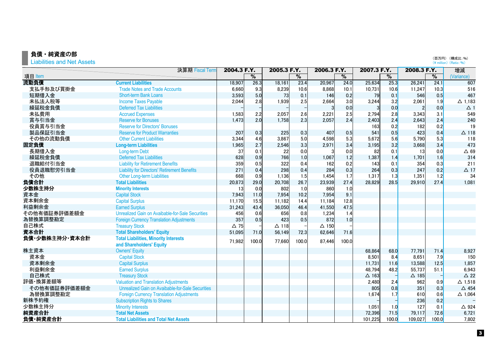## 負債・純資産の部

Liabilities and Net Assets

|                | 決算期 Fiscal Term                                     | 2004.3 F.Y. |               | 2005.3 F.Y.  |               | 2006.3 F.Y.  |               | 2007.3 F.Y.  |               | 2008.3 F.Y.  |                          | 増減                |
|----------------|-----------------------------------------------------|-------------|---------------|--------------|---------------|--------------|---------------|--------------|---------------|--------------|--------------------------|-------------------|
| 項目 Item        |                                                     |             | $\frac{9}{6}$ |              | $\frac{9}{6}$ |              | $\frac{9}{6}$ |              | $\frac{9}{6}$ |              | $\overline{\frac{9}{6}}$ | (Variance)        |
| 流動負債           | <b>Current Liabilities</b>                          | 18,907      | 26.3          | 18.161       | 23.4          | 20,967       | 24.0          | 25,634       | 25.3          | 26,241       | 24.1                     | 607               |
| 支払手形及び買掛金      | <b>Trade Notes and Trade Accounts</b>               | 6,660       | 9.3           | 8,239        | 10.6          | 8,868        | 10.1          | 10,731       | 10.6          | 11,247       | 10.3                     | 516               |
| 短期借入金          | Short-term Bank Loans                               | 3,593       | 5.0           | 73           | 0.1           | 146          | 0.2           | 79           | 0.1           | 546          | 0.5                      | 467               |
| 未払法人税等         | <b>Income Taxes Payable</b>                         | 2,044       | 2.8           | 1,939        | 2.5           | 2,664        | 3.0           | 3,244        | 3.2           | 2,061        | 1.9                      | $\Delta$ 1,183    |
| 繰延税金負債         | <b>Deferred Tax Liabilities</b>                     |             |               |              |               |              | 0.0           |              | 0.0           |              | 0.0                      | $\Delta$ 1        |
| 未払費用           | <b>Accrued Expenses</b>                             | 1,583       | 2.2           | 2,057        | 2.6           | 2,221        | 2.5           | 2,794        | 2.8           | 3,343        | 3.1                      | 549               |
| 賞与引当金          | <b>Reserve for Bonuses</b>                          | 1,473       | 2.0           | 1,758        | 2.3           | 2,057        | 2.4           | 2,403        | 2.4           | 2,643        | 2.4                      | 240               |
| 役員賞与引当金        | <b>Reserve for Directors' Bonuses</b>               |             |               |              |               |              |               | 163          | 0.2           | 182          | 0.2                      | 19                |
| 製品保証引当金        | <b>Reserve for Product Warranties</b>               | 207         | 0.3           | 225          | 0.3           | 407          | 0.5           | 541          | 0.5           | 423          | 0.4                      | $\Delta$ 118      |
| その他の流動負債       | <b>Other Current Liabilities</b>                    | 3,344       | 4.6           | 3,867        | 5.0           | 4,598        | 5.3           | 5,672        | 5.6           | 5,790        | 5.3                      | 118               |
| 固定負債           | <b>Long-term Liabilities</b>                        | 1,965       | 2.7           | 2,546        | 3.3           | 2,971        | 3.4           | 3,195        | 3.2           | 3,668        | 3.4                      | 473               |
| 長期借入金          | Long-term Debt                                      | 37          | 0.1           | 22           | 0.0           |              | 0.0           | 82           | 0.1           | 13           | 0.0                      | $\Delta$ 69       |
| 繰延税金負債         | <b>Deferred Tax Liabilities</b>                     | 628         | 0.9           | 766          | 1.0           | 1,067        | 1.2           | 1,387        | 1.4           | 1,701        | 1.6                      | 314               |
| 退職給付引当金        | <b>Liability for Retirement Benefits</b>            | 359         | 0.5           | 322          | 0.4           | 162          | 0.2           | 143          | 0.1           | 354          | 0.3                      | 211               |
| 役員退職慰労引当金      | <b>Liability for Directors' Retirement Benefits</b> | 271         | 0.4           | 298          | 0.4           | 284          | 0.3           | 264          | 0.3           | 247          | 0.2                      | $\Delta$ 17       |
| その他            | <b>Other Long-term Liabilities</b>                  | 668         | 0.9           | 1,136        | 1.5           | 1,454        | 1.7           | 1,317        | 1.3           | 1,351        | 1.2                      | 34                |
| 負債合計           | <b>Total Liabilities</b>                            | 20,873      | 29.0          | 20,708       | 26.7          | 23,939       | 27.4          | 28,829       | 28.5          | 29,910       | 27.4                     | 1,081             |
| 少数株主持分         | <b>Minority Interests</b>                           | 13          | 0.0           | 802          | 1.0           | 860          | 1.0           |              |               |              |                          |                   |
| 資本金            | <b>Capital Stock</b>                                | 7,943       | $11.0$        | 7,954        | 10.2          | 7,954        | 9.1           |              |               |              |                          |                   |
| 資本剰余金          | <b>Capital Surplus</b>                              | 11,170      | 15.5          | 11.182       | 14.4          | 11,184       | 12.8          |              |               |              |                          |                   |
| 利益剰余金          | <b>Earned Surplus</b>                               | 31,243      | 43.4          | 36,050       | 46.4          | 41,550       | 47.5          |              |               |              |                          |                   |
| その他有価証券評価差額金   | Unrealized Gain on Avaibable-for-Sale Securities    | 456         | 0.6           | 656          | 0.8           | 1,234        | 1.4           |              |               |              |                          |                   |
| 為替換算調整勘定       | <b>Foreign Currency Translation Adjustments</b>     | 357         | 0.5           | 423          | 0.5           | 872          | 1.0           |              |               |              |                          |                   |
| 自己株式           | <b>Treasury Stock</b>                               | $\Delta$ 75 |               | $\Delta$ 118 |               | $\Delta$ 150 |               |              |               |              |                          |                   |
| 資本合計           | <b>Total Shareholders' Equity</b>                   | 51,095      | 71.0          | 56.149       | 72.3          | 62,646       | 71.6          |              |               |              |                          |                   |
| 負債·少数株主持分·資本合計 | <b>Total Liabilities, Minority Interests</b>        | 71.982      | 100.0         | 77.660       | 100.0         | 87,446       | 100.0         |              |               |              |                          |                   |
|                | and Shareholders' Equity                            |             |               |              |               |              |               |              |               |              |                          |                   |
| 株主資本           | <b>Owners' Equity</b>                               |             |               |              |               |              |               | 68,864       | 68.0          | 77,791       | 71.4                     | 8,927             |
| 資本金            | <b>Capital Stock</b>                                |             |               |              |               |              |               | 8,501        | 8.4           | 8,651        | 7.9                      | 150               |
| 資本剰余金          | <b>Capital Surplus</b>                              |             |               |              |               |              |               | 11,731       | 11.6          | 13,588       | 12.5                     | 1,857             |
| 利益剰余金          | <b>Earned Surplus</b>                               |             |               |              |               |              |               | 48,794       | 48.2          | 55,737       | 51.1                     | 6,943             |
| 自己株式           | <b>Treasury Stock</b>                               |             |               |              |               |              |               | $\Delta$ 163 |               | $\Delta$ 185 |                          | $\Delta$ 22       |
| 評価 換算差額等       | <b>Valuation and Translation Adjustments</b>        |             |               |              |               |              |               | 2,480        | 2.4           | 962          | 0.9                      | $\Delta$ 1,518    |
| その他有価証券評価差額金   | Unrealized Gain on Avaibable-for-Sale Securities    |             |               |              |               |              |               | 805          | 0.8           | 351          | 0.3                      | $\triangle$ 454   |
| 為替換算調整勘定       | <b>Foreign Currency Translation Adjustments</b>     |             |               |              |               |              |               | 1,674        | 1.7           | 610          | 0.6                      | $\triangle$ 1,064 |
| 新株予約権          | <b>Subscription Rights to Shares</b>                |             |               |              |               |              |               |              |               | 236          | 0.2                      |                   |
| 少数株主持分         | <b>Minority Interests</b>                           |             |               |              |               |              |               | 1,051        | 1.0           | 127          | 0.1                      | $\triangle$ 924   |
| 純資産合計          | <b>Total Net Assets</b>                             |             |               |              |               |              |               | 72,396       | 71.5          | 79,117       | 72.6                     | 6,721             |
| 負債 純資産合計       | <b>Total Liabilities and Total Net Assets</b>       |             |               |              |               |              |               | 101,225      | 100.0         | 109,027      | 100.0                    | 7,802             |

(百万円) (構成比:%)<br>(¥ million) (Ratio:%)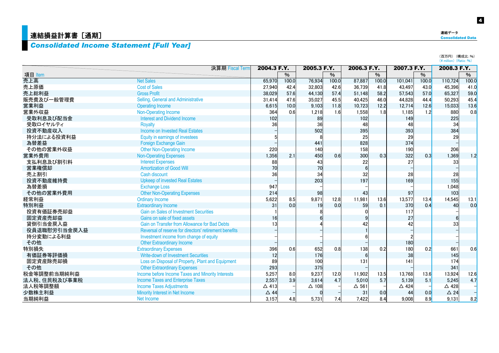## *Consolidated Income Statement [Full Year]*

|              |                                                        |                 |       |             |                          |                 |       |                 |                          | (百万円) (構成比:%)<br>$(*$ million) $(Ratio: %)$ |       |
|--------------|--------------------------------------------------------|-----------------|-------|-------------|--------------------------|-----------------|-------|-----------------|--------------------------|---------------------------------------------|-------|
|              | 決算期 Fiscal Term                                        | 2004.3 F.Y.     |       | 2005.3 F.Y. |                          | 2006.3 F.Y.     |       | 2007.3 F.Y.     |                          | 2008.3 F.Y.                                 |       |
| 項目 Item      |                                                        |                 | $\%$  |             | $\overline{\frac{9}{6}}$ |                 | $\%$  |                 | $\overline{\frac{9}{6}}$ |                                             | $\%$  |
| 売上高          | <b>Net Sales</b>                                       | 65,970          | 100.0 | 76.934      | 100.0                    | 87,887          | 100.0 | 101,041         | 100.0                    | 110,724                                     | 100.0 |
| 売上原価         | <b>Cost of Sales</b>                                   | 27,940          | 42.4  | 32,803      | 42.6                     | 36.739          | 41.8  | 43,497          | 43.0                     | 45,396                                      | 41.0  |
| 売上総利益        | <b>Gross Profit</b>                                    | 38.029          | 57.6  | 44,130      | 57.4                     | 51.148          | 58.2  | 57,543          | 57.0                     | 65,327                                      | 59.0  |
| 販売費及び一般管理費   | Selling, General and Administrative                    | 31,414          | 47.6  | 35,027      | 45.5                     | 40,425          | 46.0  | 44,828          | 44.4                     | 50,293                                      | 45.4  |
| 営業利益         | <b>Operating Income</b>                                | 6,615           | 10.0  | 9,103       | 11.8                     | 10,723          | 12.2  | 12,714          | 12.6                     | 15,033                                      | 13.6  |
| 営業外収益        | Non-Operating Income                                   | 364             | 0.6   | 1,218       | 1.6                      | 1,558           | 1.8   | 1,185           | 1.2                      | 880                                         | 0.8   |
| 受取利息及び配当金    | <b>Interest and Dividend Income</b>                    | 102             |       | 89          |                          | 102             |       | 149             |                          | 225                                         |       |
| 受取ロイヤルティ     | <b>Royalty</b>                                         | 36              |       | 36          |                          | 48              |       | 48              |                          | 34                                          |       |
| 投資不動産収入      | Income on Invested Real Estates                        |                 |       | 502         |                          | 395             |       | 393             |                          | 384                                         |       |
| 持分法による投資利益   | Equity in earnings of investees                        |                 |       |             |                          | 25              |       | 29              |                          | 29                                          |       |
| 為替差益         | Foreign Exchange Gain                                  |                 |       | 441         |                          | 828             |       | 374             |                          |                                             |       |
| その他の営業外収益    | <b>Other Non-Operating Income</b>                      | 220             |       | 140         |                          | 158             |       | 190             |                          | 206                                         |       |
| 営業外費用        | <b>Non-Operating Expenses</b>                          | 1,356           | 2.1   | 450         | 0.6                      | 300             | 0.3   | 322             | 0.3                      | 1,369                                       | 1.2   |
| 支払利息及び割引料    | <b>Interest Expenses</b>                               | 88              |       | 43          |                          | 22              |       | 27              |                          | 33                                          |       |
| 営業権償却        | <b>Amortization of Good Will</b>                       | 70              |       | 70          |                          | $6\phantom{1}6$ |       |                 |                          |                                             |       |
| 売上割引         | Cash discount                                          | 36              |       | 34          |                          | 32              |       | 28              |                          | 28                                          |       |
| 投資不動産維持費     | <b>Upkeep of invested Real Estates</b>                 |                 |       | 203         |                          | 197             |       | 169             |                          | 155                                         |       |
| 為替差損         | <b>Exchange Loss</b>                                   | 947             |       |             |                          |                 |       |                 |                          | 1,048                                       |       |
| その他の営業外費用    | <b>Other Non-Operating Expenses</b>                    | 214             |       | 98          |                          | 43              |       | 97              |                          | 103                                         |       |
| 経常利益         | <b>Ordinary Income</b>                                 | 5,622           | 8.5   | 9,871       | 12.8                     | 11,981          | 13.6  | 13,577          | 13.4                     | 14,545                                      | 13.1  |
| 特別利益         | <b>Extraordinary Income</b>                            | 31              | 0.0   | 19          | 0.0                      | 59              | 0.1   | 370             | 0.4                      | 40                                          | 0.0   |
| 投資有価証券売却益    | <b>Gain on Sales of Investment Securities</b>          |                 |       |             |                          |                 |       | 117             |                          |                                             |       |
| 固定資産売却益      | Gains on sale of fixed assets                          | 16              |       |             |                          |                 |       | 27              |                          |                                             |       |
| 貸倒引当金戻入益     | Gain on Transfer from Allowance for Bad Debts          |                 |       |             |                          | 42              |       | 42              |                          | 33                                          |       |
| 役員退職慰労引当金戻入益 | Reversal of reserve for directors' retirement benefits |                 |       |             |                          |                 |       |                 |                          |                                             |       |
| 持分変動による利益    | Investment income from change of equity                |                 |       |             |                          |                 |       |                 |                          |                                             |       |
| その他          | <b>Other Extraordinary Income</b>                      |                 |       |             |                          |                 |       | 180             |                          |                                             |       |
| 特別損失         | <b>Extraordinary Expenses</b>                          | 396             | 0.6   | 652         | 0.8                      | 138             | 0.2   | 180             | 0.2                      | 661                                         | 0.6   |
| 有価証券等評価損     | Write-down of Investment Securities                    | 12              |       | 176         |                          | 6               |       | 38              |                          | 145                                         |       |
| 固定資産除売却損     | Loss on Disposal of Property, Plant and Equipment      | 89              |       | 100         |                          | 131             |       | 141             |                          | 174                                         |       |
| その他          | <b>Other Extraordinary Expenses</b>                    | 293             |       | 375         |                          |                 |       |                 |                          | 341                                         |       |
| 税金等調整前当期純利益  | Income before Income Taxes and Minority Interests      | 5,257           | 8.0   | 9,237       | 12.0                     | 11,902          | 13.5  | 13,768          | 13.6                     | 13,924                                      | 12.6  |
| 法人税、住民税及び事業税 | <b>Income Taxes and Enterprise Taxes</b>               | 2,557           | 3.9   | 3,614       | 4.7                      | 5,010           | 5.7   | 5,139           | 5.1                      | 5,245                                       | 4.7   |
| 法人税等調整額      | <b>Income Taxes Adjustments</b>                        | $\triangle$ 413 |       | △ 108       |                          | $\Delta$ 561    |       | $\triangle$ 424 |                          | △ 428                                       |       |
| 少数株主利益       | Minority Interest in Net Income                        | $\triangle$ 44  |       |             |                          | 31              | 0.0   | 44              | 0.0                      | $\triangle$ 24                              |       |
| 当期純利益        | Net Income                                             | 3,157           | 4.8   | 5,731       | 7.4                      | 7,422           | 8.4   | 9,008           | 8.9                      | 9,131                                       | 8.2   |

連結データ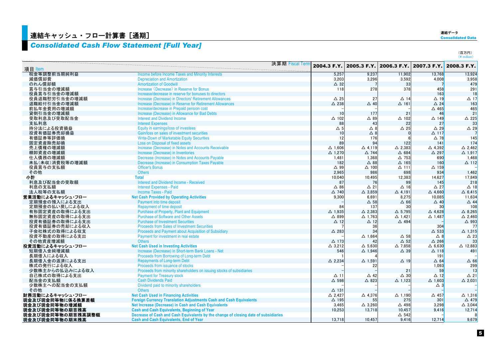## $\frac{1}{2}$ 連結キャッシュ・フロー計算書 [通期]

## *Consolidated Cash Flow Statement [Full Year]*

| 連結データ                    |  |
|--------------------------|--|
| <b>Consolidated Data</b> |  |

(百万円)<br>(¥ million)

|                   | 決算期 Fiscal Term                                                                     | 2004.3 F.Y.       | 2005.3 F.Y.       |                   | 2006.3 F.Y. 2007.3 F.Y. 2008.3 F.Y. |                   |
|-------------------|-------------------------------------------------------------------------------------|-------------------|-------------------|-------------------|-------------------------------------|-------------------|
| 項目 Item           |                                                                                     |                   |                   |                   |                                     |                   |
| 税金等調整前当期純利益       | <b>Income before Income Taxes and Minority Interests</b>                            | 5,257             | 9,237             | 11,902            | 13,768                              | 13,924            |
| 減価償却費             | <b>Depreciation and Amortization</b>                                                | 3,203             | 3,296             | 3,592             | 4,008                               | 3,958             |
| のれん償却額            | <b>Amortization of Goodwill</b>                                                     | $\triangle$ 32    |                   | 33                |                                     | 479               |
| 賞与引当金の増減額         | Increase (Decrease) in Reserve for Bonus                                            | 118               | 278               | 378               | 458                                 | 291               |
| 役員賞与引当金の増減額       | Increase/decrease in reserve for bonuses to directors                               |                   |                   |                   | 163                                 | 18                |
| 役員退職慰労引当金の増減額     | Increase (Decrease) in Directors' Retirement Allowances                             | $\triangle$ 25    | 27                | $\Delta$ 14       | $\Delta$ 19                         | $\Delta$ 17       |
| 退職給付引当金の増減額       | Increase (Decrease) in Reserve for Retirement Allowances                            | $\triangle$ 238   | $\triangle$ 40    | $\Delta$ 161      | $\triangle$ 24                      | 163               |
| 前払年金費用の増減額        | Increase/decrease in Prepaid pension cost                                           |                   |                   |                   | $\triangle$ 465                     | 465               |
| 貸倒引当金の増減額         | Increase (Decrease) in Allowance for Bad Debts                                      | 10                | 177               | 21                | 46                                  | 21                |
| 受取利息及び受取配当金       | <b>Interest and Dividend Income</b>                                                 | $\triangle$ 102   | $\triangle$ 89    | $\triangle$ 102   | $\triangle$ 149                     | $\triangle$ 225   |
| 支払利息              | <b>Interest Expenses</b>                                                            | 88                | 43                | 22                | 27                                  | 33                |
| 持分法による投資損益        | Equity in earnings/loss of investees                                                | $\Delta$ 5        | $\triangle$ 8     | $\triangle$ 25    | $\triangle$ 29                      | $\triangle$ 29    |
| 投資有価証券売却損益        | Gain/loss on sales of investment securities                                         | 10                | $\triangle$ 8     |                   | $\Delta$ 117                        |                   |
| 有価証券等評価損          | <b>Write-Down of Marketable Equity Securities</b>                                   | 12                | 176               |                   | $\triangle$ 78                      | 145               |
| 固定資産除売却損          | Loss on Disposal of fixed assets                                                    | 89                | 94                | 122               | 141                                 | 174               |
| 売上債権の増減額          | Increase (Decrease) in Notes and Accounts Receivable                                | $\Delta$ 1.606    | $\triangle$ 4.119 | $\triangle$ 2,383 | $\triangle$ 4,392                   | $\triangle$ 2.462 |
| 棚卸資産の増減額          | Increase (Decrease) in Inventories                                                  | $\triangle$ 1,270 | $\triangle$ 744   | $\triangle$ 684   | △ 297                               | $\triangle$ 1,917 |
| 仕入債務の増減額          | Decrease (Increase) in Notes and Accounts Payable                                   | 1,481             | 1,368             | $\triangle$ 753   | 690                                 | 1,468             |
| 未払(未収)消費税等の増減額    | Decrease (Increase) in Consumption Taxes Payable                                    | 182               | $\triangle$ 88    | $\Delta$ 165      | 160                                 | $\Delta$ 112      |
| 役員賞与の支払額          | <b>Officer's Bonus</b>                                                              | $\triangle$ 99    | $\triangle$ 100   | $\Delta$ 111      | $\Delta$ 159                        |                   |
| その他               | <b>Others</b>                                                                       | 2.965             | 986               | 698               | 934                                 | 1.462             |
| 小計                | <b>Total</b>                                                                        | 10,040            | 10,495            | 12,383            | 14,627                              | 17,849            |
| 利息及び配当金の受取額       | <b>Interest and Dividend Income - Received</b>                                      | 87                | 76                | 99                | 145                                 | 218               |
| 利息の支払額            | <b>Interest Expenses - Paid</b>                                                     | $\triangle$ 86    | $\Delta$ 21       | $\Delta$ 16       | $\triangle$ 27                      | $\triangle$ 18    |
| 法人税等の支払額          | <b>Income Taxes - Paid</b>                                                          | $\triangle$ 740   | $\Delta$ 3,859    | $\triangle$ 4.191 | $\triangle$ 4,660                   | $\triangle$ 6,415 |
| 営業活動によるキャッシュ・フロー  | <b>Net Cash Provided by Operating Activities</b>                                    | 9.300             | 6.691             | 8,275             | 10,085                              | 11.634            |
| 定期預金の預入による支出      | Payment into time deposit                                                           |                   | $\Delta$ 58       | $\Delta$ 66       | $\Delta$ 40                         | $\triangle$ 44    |
| 定期預金の払い戻しによる収入    | <b>Repayment of time deposit</b>                                                    | 84                | 137               | 30                | 30                                  | 108               |
| 有形固定資産の取得による支出    | Purchase of Property, Plant and Equipment                                           | $\Delta$ 1.935    | $\triangle$ 2,383 | $\triangle$ 5.795 | $\triangle$ 4,628                   | $\triangle$ 8.265 |
| 無形固定資産の取得による支出    | <b>Purchase of Software and Other Assets</b>                                        | △ 899             | $\Delta$ 1.763    | $\triangle$ 1.421 | $\Delta$ 1,487                      | $\triangle$ 2.460 |
| 投資有価証券の取得による支出    | <b>Purchase of Investment Securities</b>                                            | $\Delta$ 12       | $\Delta$ 12       | $\triangle$ 494   |                                     | $\triangle$ 993   |
| 投資有価証券の売却による収入    | <b>Proceeds from Sales of Investment Securities</b>                                 |                   | 36                |                   | 304                                 | 77                |
| 子会社株式の取得による収支     | Proceeds and Payment about Acquisition of Subsidiary                                | $\triangle$ 283   | 34                |                   | $\triangle$ 533                     | $\Delta$ 1,315    |
| 投資不動産の取得による支出     | Payment for investment in real estate                                               |                   | $\Delta$ 1.664    | $\Delta$ 58       | $\triangle$ 8                       | $\triangle$ 23    |
| その他資産増減額          | <b>Others</b>                                                                       | $\Delta$ 173      | 42                | $\triangle$ 52    | $\triangle$ 266                     | 33                |
| 投資活動によるキャッシュ・フロー  | <b>Net Cash Used in Investing Activities</b>                                        | $\triangle$ 3.212 | $\Delta$ 5,630    | $\triangle$ 7.858 | $\triangle$ 6,630                   | △ 12,883          |
| 短期借入金純増減額         | Increase (Decrease) in Short-term Bank Loans - Net                                  | 546               | $\Delta$ 1,946    | $\triangle$ 39    | $\Delta$ 118                        | 491               |
| 長期借入による収入         | Proceeds from Borrowing of Long-term Debt                                           |                   |                   |                   | 191                                 |                   |
| 長期借入金の返済による支出     | <b>Repayments of Long-term Debt</b>                                                 | $\triangle$ 2.234 | $\Delta$ 1,591    | $\Delta$ 19       | $\triangle$ 64                      | $\triangle$ 66    |
| 株式の発行による収入        | Proceeds from issuance of stocks                                                    |                   | 22                |                   | 1,093                               | 299               |
| 少数株主からの払込みによる収入   | Proceeds from minority shareholders on issuing stocks of subsidiaries               |                   |                   | 21                | 59                                  | 13                |
| 自己株式の取得による支出      | <b>Payment for Treasury stock</b>                                                   | $\Delta$ 11       | $\triangle$ 42    | $\triangle$ 30    | $\Delta$ 12                         | $\Delta$ 21       |
| 配当金の支払額           | <b>Cash Dividends Paid</b>                                                          | $\Delta$ 598      | $\triangle$ 823   | $\triangle$ 1.123 | $\triangle$ 1,603                   | $\triangle$ 2,031 |
| 少数株主への配当金の支払額     | Dividend paid to minority shareholders                                              |                   |                   |                   | $\Delta$ 3                          |                   |
| その他               | <b>Others</b>                                                                       | $\Delta$ 131      |                   |                   |                                     |                   |
| 財務活動によるキャッシュ・フロー  | <b>Net Cash Used in Financing Activities</b>                                        | $\triangle$ 2,427 | $\triangle$ 4,376 | $\Delta$ 1,190    | △ 457                               | $\Delta$ 1,316    |
| 現金及び現金同等物に係る換算差額  | <b>Foreign Currency Translation Adjustments Cash and Cash Equivalents</b>           | △ 195             | 55                | 275               | 301                                 | △ 479             |
| 現金及び現金同等物の増減額     | Net Increase (Decrease) in Cash and Cash Equivalents                                | 3,465             | $\triangle$ 3,260 | △ 498             | 3,298                               | $\triangle$ 3,044 |
| 現金及び現金同等物の期首残高    | <b>Cash and Cash Equivalents, Beginning of Year</b>                                 | 10,253            | 13,718            | 10.457            | 9,416                               | 12,714            |
| 現金及び現金同等物の期首残高調整額 | Decrease of Cash and Cash Equivalents by the change of closing date of subsidiaries |                   |                   | $\triangle$ 542   |                                     | 8                 |
| 現金及び現金同等物の期末残高    | <b>Cash and Cash Equivalents, End of Year</b>                                       | 13,718            | 10,457            | 9,416             | 12,714                              | 9,679             |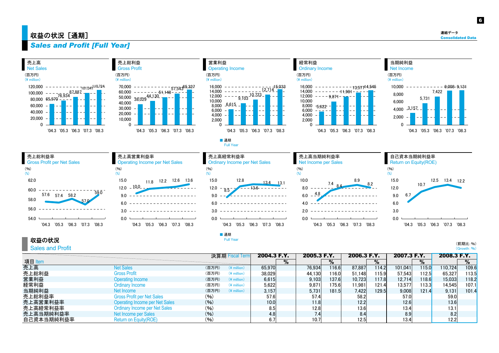## <mark>|</mark> 収益の状況[通期]

6

連結データ

## *Sales and Profit [Full Year]*

| 売上高<br><b>Net Sales</b>                                                                                                                                                              | 売上総利益<br><b>Gross Profit</b>                                                                                                                                                                                             | 営業利益<br><b>Operating Income</b>                                                                                                                                                                                           | 経常利益<br><b>Ordinary Income</b>                                                                                                                                                            | 当期純利益<br>Net Income                                                                                                       |
|--------------------------------------------------------------------------------------------------------------------------------------------------------------------------------------|--------------------------------------------------------------------------------------------------------------------------------------------------------------------------------------------------------------------------|---------------------------------------------------------------------------------------------------------------------------------------------------------------------------------------------------------------------------|-------------------------------------------------------------------------------------------------------------------------------------------------------------------------------------------|---------------------------------------------------------------------------------------------------------------------------|
| (百万円)<br>$(*$ million)                                                                                                                                                               | (百万円)<br>$(*)$ million)                                                                                                                                                                                                  | (百万円)<br>$(*)$ million)                                                                                                                                                                                                   | (百万円)<br>$(*)$ million)                                                                                                                                                                   | (百万円)<br>$(*)$ million)                                                                                                   |
| 120,000<br>$701,041$ <sup>140,724</sup><br>$\begin{array}{r} 76,934 \ \hline 76,934 \ \hline \end{array}$<br>60,000<br>40,000<br>20,000<br>$\Omega$<br>'04.3 '05.3 '06.3 '07.3 '08.3 | 70,000<br>$-51,148$ <sup>--57,54365,327<br/>- 51,148---</sup><br>$60,000 -$<br>$\frac{50,000}{40,000}$ 38,029 $\frac{44,130}{10}$<br>40,000<br>$30,000 -$<br>20,000<br>10,000<br>$'05.3$ $'06.3$<br>'07.3 '08.3<br>'04.3 | 16.000<br>-15.033<br>12.714<br>14,000<br>$-\frac{9}{9}$ $\frac{10}{2}$ $\frac{10}{2}$ $\frac{123}{2}$<br>12,000<br>10,000<br>$8,000$ $6,615$ -<br>6,000<br>4,000<br>2,000<br>$\Omega$<br>'05.3 '06.3 '07.3 '08.3<br>'04.3 | 16.000<br>13,57714,545<br>14,000<br>$-11.981-$<br>12,000<br>$-9.871 -$<br>10,000<br>8,000<br>$-5.622 -$<br>6.000<br>4,000<br>2,000<br>$\Omega$<br>$'05.3$ $'06.3$<br>'07.3 '08.3<br>'04.3 | 10,000<br>$9,008 - 9,131$<br>7,422<br>8.000<br>5,731<br>6,000<br>4,000 3,157<br>2,000<br>'05.3 '06.3 '07.3 '08.3<br>'04.3 |
|                                                                                                                                                                                      |                                                                                                                                                                                                                          | ■ 通期                                                                                                                                                                                                                      |                                                                                                                                                                                           |                                                                                                                           |
|                                                                                                                                                                                      |                                                                                                                                                                                                                          | <b>Full Year</b>                                                                                                                                                                                                          |                                                                                                                                                                                           |                                                                                                                           |
| 売上総利益率                                                                                                                                                                               | 売上高営業利益率                                                                                                                                                                                                                 | 売上高経常利益率                                                                                                                                                                                                                  | 売上高当期純利益率                                                                                                                                                                                 | 自己資本当期純利益率                                                                                                                |
| <b>Gross Profit per Net Sales</b>                                                                                                                                                    | <b>Operating Income per Net Sales</b>                                                                                                                                                                                    | <b>Ordinary Income per Net Sales</b>                                                                                                                                                                                      | Net Income per Sales                                                                                                                                                                      | Return on Equity(ROE)                                                                                                     |
| (9/6)<br>(%)                                                                                                                                                                         | (96)<br>$(\%)$                                                                                                                                                                                                           | (96)<br>$(\%)$                                                                                                                                                                                                            | (96)<br>(% )                                                                                                                                                                              | (96)<br>$(\%)$                                                                                                            |
| 62.0                                                                                                                                                                                 | 15.0 - - - - - - - - 12.2 - -12.6 - -13.6 -                                                                                                                                                                              | $-12.8 - - - - - - -13.4 - - -13.1$<br>15.0                                                                                                                                                                               | 10.0<br>-89-                                                                                                                                                                              | 15.0<br>$- -12.5 - -13.4 - -12.2 -$                                                                                       |
| 60.0                                                                                                                                                                                 | $12.0 - 10.0$                                                                                                                                                                                                            | 12.0 $-\overline{8.5}$<br>136                                                                                                                                                                                             | $7.4$ $84$<br>8.0                                                                                                                                                                         | 10.7<br>12.0                                                                                                              |
| 59.0<br>57.6 57.4 58.2<br>58.0                                                                                                                                                       | $9.0 -$                                                                                                                                                                                                                  | 9.0                                                                                                                                                                                                                       | $6.0 - \frac{4.8}{4}$                                                                                                                                                                     | $9.0 - 6.7 -$                                                                                                             |
|                                                                                                                                                                                      | 6.0                                                                                                                                                                                                                      | 6.0                                                                                                                                                                                                                       | 4.0                                                                                                                                                                                       | 6.0                                                                                                                       |
| 56.0<br>54.0                                                                                                                                                                         | 3.0<br>0.0                                                                                                                                                                                                               | 3.0<br>0.0                                                                                                                                                                                                                | 2.0<br>0.0                                                                                                                                                                                | 3.0<br>00                                                                                                                 |

収益の状況

Sales and Profit

(前期比:%) (Growth:%)

|            |                                   |       | 決算期 Fiscal Term         | 2004.3 F.Y. |      | 2005.3 F.Y. |        | 2006.3 F.Y. |         | 2007.3 F.Y. |       | 2008.3 F.Y. |       |
|------------|-----------------------------------|-------|-------------------------|-------------|------|-------------|--------|-------------|---------|-------------|-------|-------------|-------|
| 項目 Item    |                                   |       |                         |             | $\%$ |             | %      |             | $\%$    |             | %     |             | %     |
| 売上高        | <b>Net Sales</b>                  | (百万円) | $(*)$ million           | 65.970      |      | 76.934      | 116.61 | 87,887      | 114.2   | 101.041     | 115.0 | 110.724     | 109.6 |
| 売上総利益      | <b>Gross Profit</b>               | (百万円) | $(*)$ million           | 38.029      |      | 44.130      | 116.01 | 51.148      | l 15.91 | 57.543      | 112.5 | 65,327      | 113.5 |
| 営業利益       | <b>Operating Income</b>           | (百万円) | $(\frac{2}{3})$ million | 6.615       |      | 9.103       | 137.6  | 10.723      | 117.8   | 12.714      | 118.6 | 15.033      | 118.2 |
| 経常利益       | Ordinary Income                   | (百万円) | $(*$ million)           | 5.622       |      | 9.871       | 175.61 | 11,981      | 121.4   | 13.577      | 113.3 | 14,545      | 107.1 |
| 当期純利益      | Net Income                        | (百万円) | $(*$ million)           | 3.157       |      | 5.731       | 181.5  | 7,422       | 129.5   | 9.008       | 121.4 | 9,131       | 101.4 |
| 売上総利益率     | <b>Gross Profit per Net Sales</b> | (96)  |                         | 57.6        |      | 57.4        |        | 58.2        |         | 57.0        |       | 59(         |       |
| 売上高営業利益率   | Operating Income per Net Sales    | (96)  |                         | 10.0        |      | 11.8        |        | 12.2        |         | 12.6        |       | 13.6        |       |
| 売上高経常利益率   | Ordinary Income per Net Sales     | (96)  |                         | 8.5         |      | 12.8        |        | 13.6        |         | 13.4        |       | 13.1        |       |
| 売上高当期純利益率  | Net Income per Sales              | (96)  |                         | 4.8         |      | 7.4         |        | 8.4         |         | 8.9         |       | 8.2         |       |
| 自己資本当期純利益率 | Return on Equity (ROE)            | (96)  |                         | 6.7         |      | 10.7        |        | 12.5        |         | 13.4        |       | 12.2        |       |

■ 通期 Full Year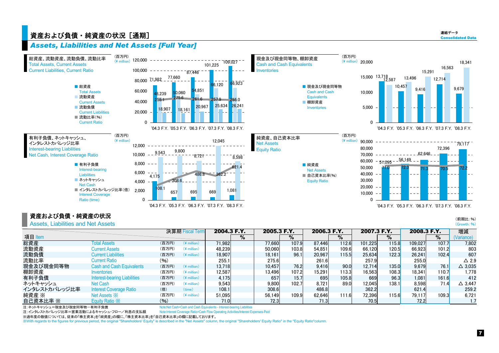## 資産および負債・純資産の状況[通期] Consolidated Data かいしょう こうしょう こうしょう こうしょう こうしょう こうしゅうしょう

#### *Assets, Liabilities and Net Assets [Full Year]*



#### 資産および負債・純資産の状況

#### Assets, Liabilities and Net Assets

|               |                                     |       | 決算期 Fiscal Term | 2004.3 F.Y. |   | 2005.3 F.Y. |       | 2006.3 F.Y. |        | 2007.3 F.Y. |       | 2008.3 F.Y. |       | 増減                |
|---------------|-------------------------------------|-------|-----------------|-------------|---|-------------|-------|-------------|--------|-------------|-------|-------------|-------|-------------------|
| 項目 Item       |                                     |       |                 |             | % |             | %     |             | $\%$   |             | %     |             | %     | Variance)         |
| 総資産           | <b>Total Assets</b>                 | (百万円) | $(*)$ million)  | 71,982      |   | 77,660      | 107.9 | 87.446      | 112.6  | 101,225     | 115.8 | 109.027     | 107.7 | 7.802             |
| 流動資産          | <b>Current Assets</b>               | (百万円) | $(*)$ million)  | 48.239      |   | 50,060      | 103.8 | 54.851      | 109.6  | 66.120      | 120.5 | 66.923      | 101.2 | 803               |
| 流動負債          | <b>Current Liabilities</b>          | (百万円) | $(*)$ million)  | 18.907      |   | 18.161      | 96.1  | 20.967      | 115.51 | 25.634      | 122.3 | 26.241      | 102.4 | 607               |
| 流動比率          | <b>Current Ratio</b>                | (96)  |                 | 255.1       |   | 275.6       |       | 261.6       |        | 257.9       |       | 255.0       |       | $\triangle$ 2.9   |
| 現金及び現金同等物     | <b>Cash and Cash Equivalents</b>    | (百万円) | $(*)$ million)  | 13.718      |   | 10.457      | 76.2  | 9.416       | 90.0   | 12.714      | 135.0 | 9,679       | 76.1  | $\triangle$ 3.035 |
| 棚卸資産          | Inventories                         | (百万円) | $(*)$ million)  | 12.587      |   | 13.4961     | 107.2 | 15.291      | 113.31 | 16,563      | 108.3 | 18.341      | 110.7 | 1.778             |
| 有利子負債         | <b>Interest-bearing Liabilities</b> | (百万円) | $(*)$ million)  | 4.175       |   | 657         | 15.7  | 695         | 105.8  | 669         | 96.3  | 1,081       | 161.6 | 412               |
| ネットキャッシュ      | <b>Net Cash</b>                     | (百万円) | $(*)$ million)  | 9.543       |   | 9.800       | 102.7 | 8.721       | 89.0   | 12.045      | 138.1 | 8.598       | 71.4  | $\triangle$ 3.447 |
| インタレストカバレッジ比率 | <b>Interest Coverage Ratio</b>      | (倍)   | (time)          | 108.1       |   | 308.6       |       | 486.8       |        | 362.2       |       | 621.4       |       | 259.2             |
| 純資産 ※         | Net Assets $\mathbb{X}$             | (百万円) | $(*)$ million)  | 51.095      |   | 56.149      | 109.9 | 62.646      | 111.6  | 72.396      | 115.6 | 79.117      | 109.3 | 6.721             |
| 自己資本比率 ※      | Equity Ratio X                      | (96)  |                 | 71.OI       |   | 72.3        |       | 71.3        |        | 70.5        |       | 72.21       |       | 1.7               |

注:ネットキャッシュ=現金及び現金同等物-有利子負債

Note:Net Cash=Cash and Cash Equivalents - Interest-bearing Liabilities

注:インタレストカバレッジ比率=営業活動によるキャッシュ・フロー/利息の支払額 Note:Interest Coverage Ratio=Cash Flow Operating Activities/Interest Expenses-Paid

※過年度の数値については、従来の「株主資本」を「純資産」の欄に、「株主資本比率」を「自己資本比率」の欄に記載しております。

※With regards to the figures for previous period, the original "Shareholders' Equity" is described in the "Net Assets" column, the original "Shareholders' Equity Ratio" in the "Equity Ratio"column.

(前期比:%) (Growth:%)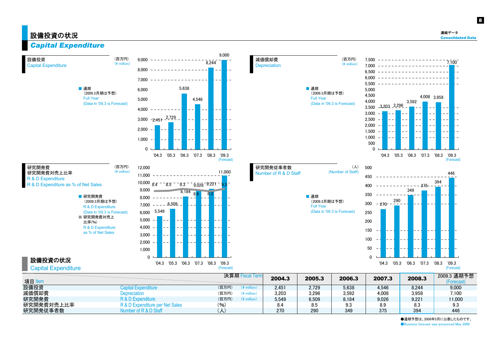#### 設備投資の状況  $\sim$  consolidated Data  $\sim$

8



●通期予想は、2008年5月に公表したものです。 **Business forecast was announced May 2008.**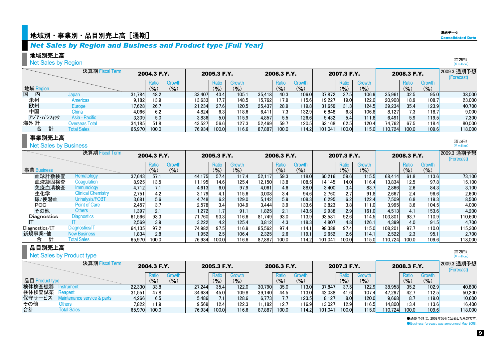## $\bullet$ 地域別・事業別・品目別売上高[通期]  $\bullet$  . The consolidated Data of  $\bullet$  and  $\bullet$  . The consolidated Data of  $\bullet$  . The consolidated  $\bullet$

#### *Net Sales by Region and Business and Product type [Full Year]*

#### 地域別売上高

#### **Net Sales by Region**

|           |                         | 決算期 Fiscal Term |        | 2004.3 F.Y. |                          |        | 2005.3 F.Y. |        |        | 2006.3 F.Y.                |        |         | 2007.3 F.Y. |           |         | 2008.3 F.Y. |           | 2009.3 通期予想<br>(Forecast) |
|-----------|-------------------------|-----------------|--------|-------------|--------------------------|--------|-------------|--------|--------|----------------------------|--------|---------|-------------|-----------|---------|-------------|-----------|---------------------------|
|           |                         |                 |        | Ratio       | Growth                   |        | Ratio       | Growth |        | Ratio                      | Growth |         | Ratic       | Growth    |         | Ratio       | Growth    |                           |
| 地域 Region |                         |                 |        | (%)         | $\mathcal{O}_\mathbf{0}$ |        | (9/6)       | (9/6)  |        | $\mathcal{O}_{\mathbf{O}}$ | (9)    |         | $(9)_{0}$   | $(9)_{0}$ |         | (9)         | $($ % $)$ |                           |
| 国<br>内    | Japan                   |                 | 31.784 | 48.2        |                          | 33.407 | 43.4        | 105.1  | 35.418 | 40.3                       | 106.0  | 37.872  | 37.5        | 106.9     | 35,961  | 32.5        | 95.0      | 38,000                    |
| 米州        | Americas                |                 | 9.182  | 13.9        |                          | 13,633 | 17.7        | 148.5  | 15.762 | 17.91                      | 115.6  | 19,227  | 19.0        | 122.0     | 20,908  | 18.9        | 108.7     | 23,000                    |
| 欧州        | Europe                  |                 | 17.628 | 26.7        |                          | 21.234 | 27.6        | 120.5  | 25.437 | 28.9                       | 119.8  | 31,659  | 31.3        | 124.5     | 39.234  | 35.4        | 123.9     | 40.700                    |
| 中国        | Chinal                  |                 | 4,066  | 6.2         |                          | 4.824  |             | 118.6  | 6,411  |                            | 132.9  | 6,848   | 6.8         | 106.8     | 8.127   | 7.3.        | 118.7     | 9,000                     |
|           | アジア・パシフィック              | Asia - Pacific  | 3,309  | 5.0         |                          | 3,836  | 5.0         | 115.9  | 4.857  |                            | 126.6  | 5,432   | 5.4         | 111.8     | 6.491   | 5.9         | 119.5     | 7.300                     |
| 海外 計      |                         | Overseas Total  | 34,185 | 51.8        |                          | 43,527 | 56.6        | 127.3  | 52.469 | 59.7                       | 120.5  | 63.168  | 62.5        | 120.4     | 74,762  | 67.5        | 118.4     | 80,000                    |
| 合         | 計<br><b>Total Sales</b> |                 | 65.970 | 100.0       |                          | 76,934 | 100.0       | 116.6  | 87,887 | 100.0                      | 114.2  | 101.041 | 100.0       | 115.0     | 110.724 | 100.0       | 109.6     | 118,000                   |

#### 事業別売上高

**Net Sales by Business** 

|                | 決算期 Fiscal Term           |        | 2004.3 F.Y.<br>Growth<br>Ratio |           |        | 2005.3 F.Y.        |                                      |        | 2006.3 F.Y.        |                     |         | 2007.3 F.Y.  |                      |         | 2008.3 F.Y.        |                     | 2009.3 通期予想<br>(Forecast) |
|----------------|---------------------------|--------|--------------------------------|-----------|--------|--------------------|--------------------------------------|--------|--------------------|---------------------|---------|--------------|----------------------|---------|--------------------|---------------------|---------------------------|
| 事業 Business    |                           |        | $(9)_{0}$                      | $(9)_{0}$ |        | Ratio<br>$($ % $)$ | Growth<br>$\mathcal{O}_{\mathbf{O}}$ |        | Ratio<br>$($ % $)$ | Growth<br>$($ % $)$ |         | Ratio<br>(%) | Growth<br>(9/6)      |         | Ratio<br>$(9)_{0}$ | Growth<br>$(9)_{0}$ |                           |
| 血球計数検査         | Hematology                | 37,643 | 57.1                           |           | 44.175 | 57.4               | 117.4                                | 52,117 | 59.3               | 118.0               | 60,216  | 59.6         | 115.5                | 68.414  | 61.8               | 113.6               | 73,100                    |
| 血液凝固検査         | Coagulation               | 8,925  | 13.5                           |           | 1,195  | 14.6               | 125.4                                | 12.150 | 13.8 <sub>1</sub>  | 108.5               | 14,145  | 14.0         | 116.4                | 13.834  | 12.5               | 97.8                | 15.100                    |
| 免疫血清検査         | <b>Immunology</b>         | 4.712  | 7.11                           |           | 4.613  | 6.0                | 97.9                                 | 4,061  | 4.6                | 88.0                | 3,400   | 3.4          | 83.7                 | 2,866   | 2.6                | 84.3                | 3.100                     |
| 生化学            | <b>Clinical Chemistry</b> | 2,751  | 4.2                            |           | 3,179  | 4.1                | 115.6                                | 3,008  | 3.4                | 94.6                | 2,760   | 2.7          | 91.8                 | 2.667   | 2.4                | 96.6                | 2,600                     |
| 尿/便潜血          | Urinalysis/FOBT           | 3.681  | 5.6                            |           | 4.748  | 6.2                | 129.0                                | 5.142  | 5.9                | 108.3               | 6,295   | 6.2          | 122.4                | 7,509   | 6.8                | 119.3               | 8.500                     |
| <b>POC</b>     | <b>Point of Care</b>      | 2.457  | 3.7                            |           | 2.578  | 3.4                | 104.9                                | 3.444  |                    | 133.6               | 3,823   | 3.8          | 111.0                | 3.995   | 3.6                | 104.5               | 4.000                     |
| その他            | Others                    | 1,397  | 2.1                            |           | 1.272  |                    | 91.1                                 | 1,825  | 2.1                | 143.5               | 2,938   | 2.9          | 161.0                | 4.513   | 4.1                | 153.6               | 4.200                     |
| Diagnostics    | <b>Diagnostics</b>        | 61,566 | 93.3                           |           | 71,760 | 93.3               | 116.6                                | 81.749 | 93.0               | 113.9               | 93,581  | 92.6         | 114.5                | 103.801 | 93.7               | 110.9               | 110,600                   |
|                |                           | 2.569  | 3.9                            |           | 3.222  | 4.2                | 125.4                                | 3.812  | 4.3                | 118.3               | 4,807   | 4.8          | 126.1                | 4.399   | 4.0                | 91.5                | 4.700                     |
| Diagnostics/IT | Diagnostics/IT            | 64,135 | 97.2                           |           | 74,982 | 97.5               | 116.9                                | 85,562 | 97.4               | 114.1               | 98,388  | 97.4         | 115.0 <mark>1</mark> | 108.201 | 97.7               | 110.0               | 115,300                   |
| 新規事業·他         | <b>New Business</b>       | 1.834  | 2.8                            |           | 1.952  | 2.5                | 106.4                                | 2,325  | 2.6                | 119.1               | 2,652   | 2.6          | 114.1                | 2.522   | 2.3                | 95.1                | 2.700                     |
| 合              | <b>Total Sales</b>        | 65.970 | 100.0                          |           | 76.934 | 100.0              | 116.6                                | 87.887 | 100.0              | 114.2               | 101.041 | 100.01       | 115.0                | 10.724  | 100.0              | 109.6               | 118,000                   |

#### 品目別売上高

|                 | Net Sales by Product type   |        |                            |                            |        |             |           |        |             |        |         |             |           |         |             |                      | (日カ門)<br>$(*)$ million)   |
|-----------------|-----------------------------|--------|----------------------------|----------------------------|--------|-------------|-----------|--------|-------------|--------|---------|-------------|-----------|---------|-------------|----------------------|---------------------------|
|                 | 決算期 Fiscal Term             |        | 2004.3 F.Y.                |                            |        | 2005.3 F.Y. |           |        | 2006.3 F.Y. |        |         | 2007.3 F.Y. |           |         | 2008.3 F.Y. |                      | 2009.3 通期予想<br>(Forecast) |
|                 |                             |        | Ratio                      | Growth                     |        | Ratio       | Growth    |        | Ratio       | Growth |         | Ratio       | Growth    |         | Ratio       | Growth               |                           |
| 品目 Product type |                             |        | $\mathcal{O}_{\mathbf{O}}$ | $\mathcal{O}_{\mathbf{O}}$ |        | (9)         | $(9)_{0}$ |        | (9/6)       | (%)    |         | $(9)_{0}$   | $(9)_{0}$ |         | (%)         | $($ % $)$            |                           |
| 検体検査機器          | <b>Instrument</b>           | 22.330 | 33.8                       |                            | 27.244 | 35.4        | 122.0     | 30,790 | 35.0        | 113.0  | 37.847  | 37.5        | 122.9     | 38,958  | 35.2        | 102.9                | 40,800                    |
| 検体検査試薬          | Reagent                     | 31.551 | 47.8                       |                            | 34,634 | 45.0        | 109.8     | 39.140 | 44.5        | 113.0  | 42.038  | 41.6        | 107.4     | 47,297  | 42.7        | 12.5                 | 50,200                    |
| 保守サービス          | Maintenance service & parts | 4,266  | 6.5                        |                            | 5,486  |             | 128.6     | 6.773  |             | 123.5  | 8,127   | 8.0         | 120.0     | 9,668   |             | 119.0 <mark>'</mark> | 10,600                    |
| その他             | <b>Others</b>               | 7,822  | 11.9                       |                            | 9,569  | 12.4        | 122.3     | 1.182  | 12.7        | 116.9  | 13,027  | 12.9        | 116.5     | 14,800  | 13.4        | 13.6                 | 16,400                    |
| 合計              | <b>Total Sales</b>          | 65.970 | 100.0                      |                            | 76.934 | 100.0       | 116.6     | 87.887 | 100.0       | 114.2  | 101.041 | 100.0       | 115.0     | 110.724 | 100.0       | 109.6                | 118,000                   |

●通期予想は、2008年5月に公表したものです。 **Business forecast was announced May 2008.** 

| 連結データ                    |  |
|--------------------------|--|
| <b>Consolidated Data</b> |  |
|                          |  |

(百万円) $(\frac{4}{3})$  million)

> (百万円) (\ million)

(百万円)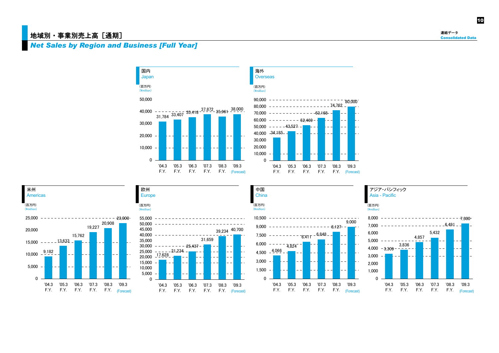#### 地域別·事業別売上高 [通期]

#### *Net Sales by Region and Business [Full Year]*









'04.3 '05.3 '06.3 '07.3 '08.3 '09.3 F.Y. F.Y. F.Y. F.Y. F.Y.

0







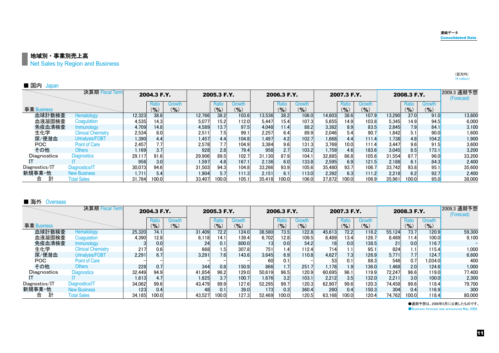地域別・事業別売上高

Net Sales by Region and Business

| ■ 国内<br>Japan  |                           |        |             |        |        |                   |           |        |             |           |        |             |        |        |             |                            |                           |
|----------------|---------------------------|--------|-------------|--------|--------|-------------------|-----------|--------|-------------|-----------|--------|-------------|--------|--------|-------------|----------------------------|---------------------------|
|                | 決算期 Fiscal Term           |        | 2004.3 F.Y. |        |        | 2005.3 F.Y.       |           |        | 2006.3 F.Y. |           |        | 2007.3 F.Y. |        |        | 2008.3 F.Y. |                            | 2009.3 通期予想<br>(Forecast) |
|                |                           |        | Ratio       | Growth |        | Ratio             | Growth    |        | Ratio       | Growth    |        | Ratio       | Growth |        | Ratio       | Growth                     |                           |
| 事業 Business    |                           |        | $($ % $)$   | (9/6)  |        | $($ % $)$         | $($ % $)$ |        | $($ % $)$   | $(9)_{0}$ |        | $($ % $)$   | (9/6)  |        | $(9)_{0}$   | $\mathcal{O}_{\mathbf{0}}$ |                           |
| 血球計数検査         | Hematology                | 12,323 | 38.8        |        | 12,766 | 38.2              | 103.6     | 13,536 | 38.2        | 106.0     | 14,603 | 38.6        | 107.9  | 13,290 | 37.0        | 91.0                       | 13,800                    |
| 血液凝固検査         | Coaquiation               | 4,535  | 14.3        |        | 5,077  | 15.2 <sub>1</sub> | 112.0     | 5,447  | 15.4        | 107.3     | 5,655  | 14.9        | 103.8  | 5,345  | 14.9        | 94.5                       | 6,000                     |
| 免疫血清検査         | <i>Immunology</i>         | 4,709  | 14.8        |        | 4,589  | 13.7              | 97.5      | 4,048  | 11.4        | 88.2      | 3,382  | 8.9         | 83.5   | 2,845  | 7.9         | 84.1                       | 3,100                     |
| 生化学            | <b>Clinical Chemistry</b> | 2,534  | 8.0         |        | 2,511  | 1.5               | 99.1      | 2,257  | 6.4         | 89.9      | 2,046  | 5.4         | 90.7   | 1,842  | 5.1         | 90.0                       | 1,600                     |
| 尿/便潜血          | Urinalysis/FOBT           | 1,390  | 4.4         |        | 1.457  | 4.4               | 104.8     | 1,497  | 4.2         | 102.7     | 1,668  | 4.4         | 111.4  | 1.738  | 4.8         | 104.2                      | 1,900                     |
| POC            | <b>Point of Care</b>      | 2,457  | 7.7         |        | 2,578  |                   | 104.9     | 3,384  | 9.6         | 131.3     | 3,769  | 10.0        | 111.4  | 3,447  | 9.6         | 91.5                       | 3,600                     |
| その他            | <b>Others</b>             | l.169  | 3.7         |        | 928    | 2.8               | 79.4      | 958    | 2.7         | 103.2     | 1,759  | 4.6         | 183.6  | 3.045  | 8.5         | 173.1                      | 3,200                     |
| Diagnostics    | <b>Diagnostics</b>        | 29,117 | 91.6        |        | 29,906 | 89.5              | 102.7     | 31.130 | 87.9        | 104.1     | 32,885 | 86.8        | 105.6  | 31,554 | 87.7        | 96.0                       | 33,200                    |
|                |                           | 956    | 3.0         |        | 1.597  |                   | 167.1     | 2.136  | 6.0         | 133.8     | 2,595  | 6.9         | 121.5  | 2,188  | 6.1         | 84.3                       | 2.400                     |
| Diagnostics/IT | Diagnostics/IT            | 30,073 | 94.6        |        | 31,503 | 94.3              | 104.8     | 33,266 | 93.9        | 105.6     | 35,480 | 93.7        | 106.7  | 33,742 | 93.8        | 95.1                       | 35,600                    |
| 新規事業·他         | <b>New Business</b>       | 1.711  | 5.4         |        | 1.904  |                   | 111.3     | 2,151  | 6.1         | 113.0     | 2,392  | 6.3         | 111.2  | 2,218  | 6.2         | 92.7                       | 2.400                     |
| 合              | <b>Total Sales</b>        | 31.784 | 100.0       |        | 33.407 | 100.0             | 105.1     | 35.418 | 100.0       | 106.0     | 37.872 | 100.0       | 106.9  | 35.961 | 100.0       | 95.0                       | 38,000                    |

#### ■ 海外 Overseas

|                | 決算期 Fiscal Term           |        | 2004.3 F.Y.        |                 |        | 2005.3 F.Y.        |                     |        | 2006.3 F.Y.  |                     |                 | 2007.3 F.Y.        |                     |        | 2008.3 F.Y.      |                            | 2009.3 通期予想<br>(Forecast) |
|----------------|---------------------------|--------|--------------------|-----------------|--------|--------------------|---------------------|--------|--------------|---------------------|-----------------|--------------------|---------------------|--------|------------------|----------------------------|---------------------------|
| 事業 Business    |                           |        | Ratio<br>$(9)_{0}$ | Growth<br>(9/6) |        | Ratio<br>$($ % $)$ | Growth<br>$($ % $)$ |        | Ratio<br>(%) | Growth<br>$($ % $)$ |                 | Ratio<br>$(9)_{0}$ | Growth<br>$(9)_{0}$ |        | Ratio<br>(%)     | <b>Growth</b><br>$(9)_{0}$ |                           |
| 血球計数検査         | Hematology                | 25,320 | 74.1               |                 | 31,409 | 72.2               | 124.0               | 38.580 | 73.5         | 122.8               | 45,613          | 72.2               | 118.2               | 55,124 | 73.7             | 120.9                      | 59,300                    |
| 血液凝固検査         | Coaqulation               | 4,390  | 12.8               |                 | 6,118  | 14.1               | 139.4               | 6,702  | 12.8         | 109.5               | 8,489           | 13.4               | 126.7               | 8.489  | 11.4             | 100.0                      | 9,100                     |
| 免疫血清検査         | <i>Immunology</i>         |        | 0.0                |                 | 24     | 0.1                | 800.0               | 13     | 0.0          | 54.2                | 18 <sup>l</sup> | 0.0                | 138.5               |        | 0.0              | 116.7                      |                           |
| 生化学            | <b>Clinical Chemistry</b> | 217    | 0.6                |                 | 668    |                    | 307.8               | 751    | 1.4          | 112.4               | 714             | 1.1                | 95.1                | 824    | ۱.1              | 115.4                      | 1,000                     |
| 尿/便潜血          | Urinalysis/FOBT           | 2,291  | 6.7                |                 | 3,291  |                    | 143.6               | 3,645  | 6.9          | 110.8               | 4,627           | 7.3                | 126.9               | 5.771  |                  | 124.7                      | 6,600                     |
| POC.           | <b>Point of Care</b>      |        |                    |                 |        |                    |                     | 60     | 0.1          |                     |                 | 0.1                | 88.3                | 548    | 0.7              | 034.0                      | 400                       |
| その他            | Others                    | 228    | 0.7                |                 | 344    | 0.8                | 150.9               | 866    | 1.7          | 251.7               | 1,178           | 1.9                | 136.0               | 1.468  | 2.0              | 124.6                      | 1,000                     |
| Diagnostics    | <b>Diagnostics</b>        | 32,449 | 94.9               |                 | 41.854 | 96.2               | 129.0               | 50.619 | 96.5         | 120.9               | 60,695          | 96.1               | 119.9               | 72.247 | 96.6             | 119.0                      | 77,400                    |
|                |                           | 1,613  | 4.7                |                 | 1.625  | 3.7                | 100.7               | 1,676  | 3.2          | 103.1               | 2,212           | 3.5                | 132.0               | 2.211  | 3.0 <sub>l</sub> | 100.0                      | 2,300                     |
| Diagnostics/IT | Diagnostics/IT            | 34.062 | 99.6               |                 | 43.479 | 99.9               | 127.6               | 52,295 | 99.7         | 120.3               | 62,907          | 99.6               | 120.3               | 74.458 | 99.6             | <b>118.4</b>               | 79.700                    |
| 新規事業·他         | <b>New Business</b>       | 123    | 0.4                |                 | 48     |                    | 39.0                | 173    | 0.3          | 360.4               | 260             | 0.4                | 150.3               | 304    | 0.4              | 116.9                      | 300                       |
| 合              | <b>Total Sales</b>        | 34.185 | 100.0              |                 | 43.527 | 100.0              | 127.3               | 52.469 | 100.0        | 120.5               | 63.168          | 100.0              | 120.4               | 74.762 | 100.0            | 118.4                      | 80,000                    |

●通期予想は、2008年5月に公表したものです。

**OBusiness forecast was announced May 2008.** 

(百万円)  $(\frac{4}{2}$  million)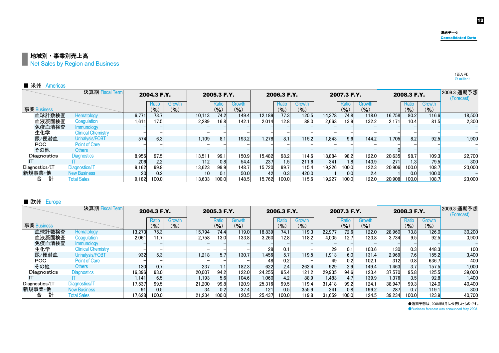(百万円) $(\frac{4}{1})$  million) 12

地域別・事業別売上高

Net Sales by Region and Business

| ■ 米州<br>Americas |                           |       |                    |                 |                 |                    |                     |        |              |                     |        |                  |               |        |                    |                     |                           |
|------------------|---------------------------|-------|--------------------|-----------------|-----------------|--------------------|---------------------|--------|--------------|---------------------|--------|------------------|---------------|--------|--------------------|---------------------|---------------------------|
|                  | 決算期 Fiscal Term           |       | 2004.3 F.Y.        |                 |                 | 2005.3 F.Y.        |                     |        | 2006.3 F.Y.  |                     |        | 2007.3 F.Y.      |               |        | 2008.3 F.Y.        |                     | 2009.3 通期予想<br>(Forecast) |
| 事業 Business      |                           |       | Ratio<br>$($ % $)$ | Growth<br>(9/6) |                 | Ratio<br>$($ % $)$ | Growth<br>$($ % $)$ |        | Ratio<br>(%) | Growth<br>$($ % $)$ |        | Ratio<br>(%)     | Growth<br>(9) |        | Ratio<br>$(9)_{0}$ | Growth<br>$(9)_{0}$ |                           |
| 血球計数検査           | Hematology                | 6,771 | 73.7               |                 | 10,113          | 74.2               | 149.4               | 12,189 | 77.3         | 120.5               | 14,378 | 74.8             | 118.0         | 16,758 | 80.2               | 116.6               | 18,500                    |
| 血液凝固検査           | Coaquiation               | 1.611 | 17.5               |                 | 2.289           | 16.8               | 142.1               | 2.014  | 12.8         | 88.0                | 2.663  | 13.9             | 132.2         | 2.171  | 10.4               | 81.5                | 2,300                     |
| 免疫血清検査           | Immunology                |       |                    |                 |                 |                    |                     |        |              |                     |        |                  |               |        |                    |                     |                           |
| 生化学              | <b>Clinical Chemistry</b> |       |                    |                 |                 |                    |                     |        |              |                     |        |                  |               |        |                    |                     |                           |
| 尿/便潜血            | Urinalysis/FOBT           | 574   | 6.3                |                 | 1.109           | 8.1                | 193.2               | 1,278  | 8.1          | 115.2               | 1.843  | 9.6              | 144.2         | 1.705  | 8.2                | 92.5                | 1,900                     |
| POC              | <b>Point of Care</b>      |       |                    |                 |                 |                    |                     |        |              |                     |        |                  |               |        |                    |                     |                           |
| その他              | <b>Others</b>             |       |                    |                 |                 |                    |                     |        |              |                     |        |                  |               |        |                    |                     | $\qquad \qquad -$         |
| Diagnostics      | <b>Diagnostics</b>        | 8,956 | 97.5               |                 | 13.511          | 99.1               | 150.9               | 15.482 | 98.2         | 114.6               | 18,884 | 98.2             | 122.0         | 20,635 | 98.7               | 109.3               | 22,700                    |
|                  |                           | 206   | 2.2                |                 | 112             | 0.8                | 54.4                | 237    | 1.5          | 211.6               | 341    | 1.8 <sub>1</sub> | 143.9         | 271    | 1.3 <sub>l</sub>   | 79.5                | 300                       |
| Diagnostics/IT   | Diagnostics/IT            | 9,162 | 99.8               |                 | 13,623          | 99.9               | 148.7               | 15,720 | 99.7         | 115.4               | 19,226 | 100.0            | 122.3         | 20,906 | 100.0              | 108.7               | 23,000                    |
| 新規事業·他           | <b>New Business</b>       | 20    | 0.2                |                 | 10 <sub>1</sub> | 0.1                | 50.0                | 42     | 0.3          | 420.0               |        | 0.0              | 2.4           |        | 0.0                | 100.0               |                           |
| 計<br>合           | <b>Total Sales</b>        | 9.182 | 100.0              |                 | 13.633          | 100.0              | 148.5               | 15.762 | 100.0        | 115.6               | 19.227 | 100.0            | 122.0         | 20,908 | 100.0              | 108.7               | 23,000                    |

#### ■ 欧州 Europe

|                | 決算期 Fiscal Term           |        | 2004.3 F.Y.        |                 |        | 2005.3 F.Y.        |                                      |        | 2006.3 F.Y.        |                      |        | 2007.3 F.Y.        |                     |        | 2008.3 F.Y.              |                     | 2009.3 通期予想<br>(Forecast) |
|----------------|---------------------------|--------|--------------------|-----------------|--------|--------------------|--------------------------------------|--------|--------------------|----------------------|--------|--------------------|---------------------|--------|--------------------------|---------------------|---------------------------|
| 事業 Business    |                           |        | Ratio<br>$(9)_{0}$ | Growth<br>(9/6) |        | Ratio<br>$(9)_{0}$ | Growth<br>$\mathcal{O}_{\mathbf{O}}$ |        | Ratio<br>$($ % $)$ | <b>Growth</b><br>(%) |        | Ratio<br>$(9)_{0}$ | Growth<br>$(9)_{0}$ |        | Ratio<br>$\mathcal{O}_0$ | Growth<br>$($ % $)$ |                           |
| 血球計数検査         | Hematology                | 13,273 | 75.3               |                 | 15.794 | 74.4               | 119.0                                | 18,839 | 74.1               | 119.3                | 22,977 | 72.6               | 122.0               | 28,960 | 73.8                     | 126.0               | 30,200                    |
| 血液凝固検査         | Coaqulation               | 2.061  | 11.7               |                 | 2.758  | 13.0 <sub>1</sub>  | 133.8                                | 3,260  | 12.8               | 118.2                | 4,035  | 12.7               | 123.8               | 3.734  | 9.5                      | 92.5                | 3,900                     |
| 免疫血清検査         | <b>Immunology</b>         |        |                    |                 |        |                    |                                      |        |                    |                      |        |                    |                     |        |                          |                     |                           |
| 生化学            | <b>Clinical Chemistry</b> |        |                    |                 |        |                    |                                      | 28     | 0.1                |                      | 29     | 0.1                | 103.6               | 130    | 0.3                      | 448.3               | 100                       |
| 尿/便潜血          | Urinalysis/FOBT           | 932    | 5.3                |                 | 1.218  | 5.7                | 130.7                                | .456   | 5.7                | 119.5                | 1.913  | 6.0                | 131.4               | 2.969  | 7.6                      | 155.2               | 3.400                     |
| POC            | <b>Point of Care</b>      |        |                    |                 |        |                    |                                      | 48     | 0.2                |                      | 49     | 0.2                | 102.1               | 312    | 0.8                      | 636.7               | 400                       |
| その他            | <b>Others</b>             | 130    | 0.7                |                 | 237    |                    | 182.3                                | 622    | 2.4                | 262.4                | 929    | 2.9                | 149.4               | 1.463  | 3.7                      | 157.5               | 1,000                     |
| Diagnostics    | <b>Diagnostics</b>        | 16,396 | 93.0               |                 | 20.007 | 94.2               | 122.0                                | 24.255 | 95.4               | 121.2                | 29,935 | 94.6               | 123.4               | 37.570 | 95.8                     | 125.5               | 39,000                    |
|                |                           | 1.141  | 6.5                |                 | 1.193  | 5.6                | 104.6                                | 1,060  | 4.2                | 88.9                 | 1,483  | 4.7                | <b>139.9</b>        | 1.376  | 3.5                      | 92.8                | 1,400                     |
| Diagnostics/IT | Diagnostics/IT            | 17.537 | 99.5               |                 | 21.200 | 99.8               | 120.9                                | 25.316 | 99.5               | 119.4                | 31.418 | 99.2               | 124.1               | 38.947 | 99.3                     | 124.0               | 40.400                    |
| 新規事業·他         | <b>New Business</b>       | 911    | 0.5                |                 | 34     | 0.2                | 37.4                                 | 121    | 0.5                | 355.9                | 241    | 0.8                | <b>199.2</b>        | 287    | 0.7                      | 119.1               | 300                       |
| 合              | <b>Total Sales</b>        | 17.628 | 100.0              |                 | 21.234 | 100.0              | 120.5                                | 25.437 | 100.0              | 119.8                | 31,659 | 100.0              | 124.5               | 39,234 | 100.0                    | 123.9               | 40.700                    |

●通期予想は、2008年5月に公表したものです。

**OBusiness forecast was announced May 2008.**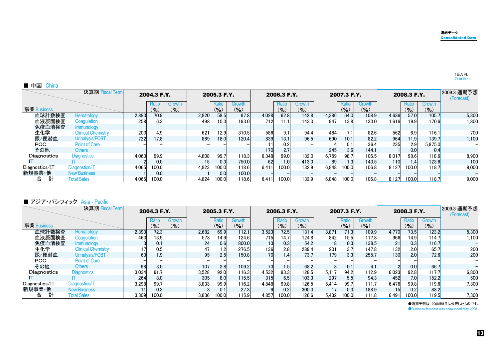| ■ 中国<br>China  |                           |       |             |                            |       |             |           |       |                  |               |       |                  |                            |       |             |              |                           |
|----------------|---------------------------|-------|-------------|----------------------------|-------|-------------|-----------|-------|------------------|---------------|-------|------------------|----------------------------|-------|-------------|--------------|---------------------------|
|                | 決算期 Fiscal Term           |       | 2004.3 F.Y. |                            |       | 2005.3 F.Y. |           |       | 2006.3 F.Y.      |               |       | 2007.3 F.Y.      |                            |       | 2008.3 F.Y. |              | 2009.3 通期予想<br>(Forecast) |
|                |                           |       | Ratio       | Growth                     |       | Ratio       | Growth    |       | Ratio            | <b>Growth</b> |       | Ratio            | Growth                     |       | Ratio       | Growth       |                           |
| 事業 Business    |                           |       | (%)         | $\mathcal{O}_{\mathbf{O}}$ |       | $($ % $)$   | $($ % $)$ |       | $(9)_{0}$        | $(9)_{o}$     |       | $($ % $)$        | $\mathcal{O}_{\mathbf{0}}$ |       | $($ % $)$   | $($ % $)$    |                           |
| 血球計数検査         | Hematology                | 2,883 | 70.9        |                            | 2,820 | 58.5        | 97.8      | 4,028 | 62.8             | 142.8         | 4,386 | 64.0             | 108.9                      | 4,636 | 57.0        | 105.7        | 5,300                     |
| 血液凝固検査         | Coaqulation               | 258   | 6.3         |                            | 498   | 10.3        | 193.0     | 712   | 11.1             | 143.0         | 947   | 13.8             | 133.0                      | 1.616 | 19.9        | 170.6        | 1,800                     |
| 免疫血清検査         | <i>Immunology</i>         |       |             |                            |       |             |           |       |                  |               |       |                  |                            |       |             |              |                           |
| 生化学            | <b>Clinical Chemistry</b> | 200   | 4.9         |                            | 621   | 12.9        | 310.5     | 586   | 9.1              | 94.4          | 484   | $\overline{ }$ . | 82.6                       | 562   | 6.9         | 116.1        | 700                       |
| 尿/便潜血          | Urinalysis/FOBT           | 722   | 17.8        |                            | 869   | 18.0        | 120.4     | 839   | 13.1             | 96.5          | 690   | 10.1             | 82.2                       | 964   | 11.9        | 139.7        | 1,100                     |
| <b>POC</b>     | <b>Point of Care</b>      |       |             |                            |       |             |           |       | 0.2 <sub>0</sub> |               |       | 0.1              | 36.4                       | 235   | 2.9         | 5,875.0      |                           |
| その他            | Others                    |       |             |                            |       |             |           | 170   | 2.7              |               | 245   | 3.6              | 144.1                      |       | 0.0         | 0.4          | $\equiv$                  |
| Diagnostics    | <b>Diagnostics</b>        | 4,063 | 99.9        |                            | 4.808 | 99.7        | 118.3     | 6,348 | 99.0             | 132.0         | 6,759 | 98.7             | 106.5                      | 8.017 | 98.6        | 118.6        | 8,900                     |
|                |                           |       | 0.0         |                            |       | 0.3         | 750.0     | 62    | 1.0              | 413.3         | 89    | 1.3              | 143.5                      | 110   | 1.4         | 123.6        | 100                       |
| Diagnostics/IT | Diagnostics/IT            | 4.065 | 100.0       |                            | 4.823 | 100.0       | 118.6     | 6.411 | 100.0            | 132.9         | 6.848 | 100.0            | 106.8                      | 8.127 | 100.0       | 118.7        | 9,000                     |
| 新規事業·他         | <b>New Business</b>       |       | 0.0         |                            |       | 0.0         | 100.0     |       |                  |               |       |                  |                            |       |             |              |                           |
| 計<br>合         | <b>Total Sales</b>        | 4.066 | 100.0       |                            | 4.824 | 100.0       | 118.6     | 6.411 | 100.0            | 132.9         | 6.848 | 100.0            | 106.8                      | 8.127 | 100.0       | <b>118.7</b> | 9.000                     |

#### ■ アジア・パシフィック Asia - Pacific

|                | 決算期 Fiscal Term           |       | 2004.3 F.Y.        |                 |       | 2005.3 F.Y.  |                 |       | 2006.3 F.Y.        |                                             |                 | 2007.3 F.Y.  |                                    |       | 2008.3 F.Y.     |                     | 2009.3 通期予想<br>(Forecast) |
|----------------|---------------------------|-------|--------------------|-----------------|-------|--------------|-----------------|-------|--------------------|---------------------------------------------|-----------------|--------------|------------------------------------|-------|-----------------|---------------------|---------------------------|
| 事業 Business    |                           |       | Ratio<br>$(9)_{0}$ | Growth<br>(9/6) |       | Ratio<br>(%) | Growth<br>(9/6) |       | Ratio<br>$(9)_{0}$ | <b>Growth</b><br>$\mathcal{O}_{\mathbf{O}}$ |                 | Ratio<br>(%) | Growth<br>$\mathcal{O}_\mathbf{0}$ |       | Ratio<br>$($ %) | Growth<br>$(9)_{0}$ |                           |
| 血球計数検査         | Hematology                | 2,393 | 72.3               |                 | 2,682 | 69.9         | 112.1           | 3,523 | 72.5               | 131.4                                       | 3,871           | 71.3         | 109.9                              | 4,770 | 73.5            | 123.2               | 5,300                     |
| 血液凝固検査         | Coaqulation               | 460   | 13.9               |                 | 573   | 14.9         | 124.6           | 715   | 14.7               | 124.8                                       | 842             | 15.5         | <b>117.8</b>                       | 966   | 14.9            | 114.7               | 1,100                     |
| 免疫血清検査         | <i>Immunology</i>         |       | 0.1                |                 | 24    | 0.6          | 800.0           |       | 0.3                | 54.2                                        | 18 <sup>1</sup> | 0.3          | <b>138.5</b>                       | 21    | 0.3             | 116.7               |                           |
| 生化学            | <b>Clinical Chemistry</b> |       | 0.5                |                 | 47    |              | 276.5           | 136   | 2.8                | 289.4                                       | 201             | 3.7          | 147.8                              | 132   | 2.0             | 65.7                | 200                       |
| 尿/便潜血          | Urinalysis/FOBT           | 63    | 1.9                |                 | 95    | 2.5          | 150.8           | 70    | $1.4^{\circ}$      | 73.7                                        | 179             | 3.3          | 255.7                              | 130   | 2.0             | 72.6                | 200                       |
| <b>POC</b>     | <b>Point of Care</b>      |       |                    |                 |       |              |                 |       |                    |                                             |                 |              |                                    |       |                 |                     |                           |
| その他            | <b>Others</b>             | 98    | 3.0                |                 | 107   | 2.8          | 109.2           | 73    | 1.5 <sup>1</sup>   | 68.2                                        |                 | 0.1          | 4.1                                |       | 0.0             | 66.7                | $-$                       |
| Diagnostics    | <b>Diagnostics</b>        | 3,034 | 91.7               |                 | 3,528 | 92.0         | 116.3           | 4,532 | 93.3               | 128.5                                       | 5,117           | 94.2         | 112.9                              | 6,023 | 92.8            | 117.7               | 6,800                     |
|                |                           | 264   | 8.0                |                 | 305   | 8.0          | 115.5           | 315   | 6.5                | 103.3                                       | 297             | 5.5          | 94.3                               | 452   | 7.0             | 152.2               | 500                       |
| Diagnostics/IT | Diagnostics/IT            | 3.298 | 99.7               |                 | 3.833 | 99.9         | 116.2           | 4.848 | 99.8               | 126.5                                       | 5,414           | 99.7         | 111.7                              | 6.476 | 99.8            | <b>119.6</b>        | 7,300                     |
| 新規事業·他         | <b>New Business</b>       |       | 0.3                |                 |       | 0.1          | 27.3            |       | 0.2                | 300.0                                       | 17              | 0.3          | <b>188.9</b>                       |       | 0.2             | 88.2                |                           |
| 計<br>合         | <b>Total Sales</b>        | 3.309 | 100.0              |                 | 3.836 | 100.0        | 115.9           | 4,857 | 100.0              | 126.6                                       | 5,432           | 100.0        | <b>111.8</b>                       | 6.491 | 100.0           | <b>119.5</b>        | 7,300                     |

●通期予想は、2008年5月に公表したものです。

**OBusiness forecast was announced May 2008.**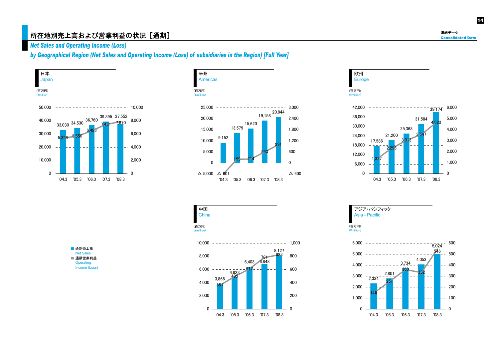#### 所在地別売上高および営業利益の状況 [通期]

*Net Sales and Operating Income (Loss)* 

*by Geographical Region (Net Sales and Operating Income (Loss) of subsidiaries in the Region) [Full Year]* 











(百万円)  $(\mathsf{y}_\mathsf{mill}$ 

中国 **China** 



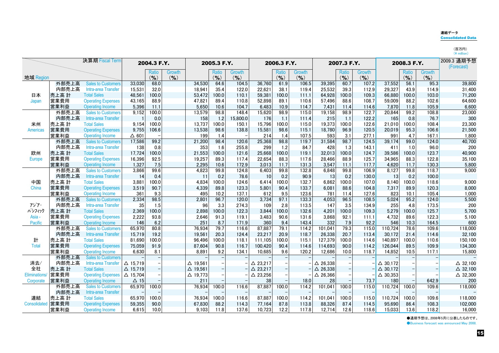#### 連結データConsolidated Data

| h    | ⊶ |
|------|---|
| mill | c |

|               |       | 決算期 Fiscal Term           |                    | 2004.3 F.Y.       |               |                    | 2005.3 F.Y. |               |                    | 2006.3 F.Y. |               |                    | 2007.3 F.Y. |               |                    | 2008.3 F.Y. |               | 2009.3 通期予想<br>(Forecast) |
|---------------|-------|---------------------------|--------------------|-------------------|---------------|--------------------|-------------|---------------|--------------------|-------------|---------------|--------------------|-------------|---------------|--------------------|-------------|---------------|---------------------------|
|               |       |                           |                    | <b>Ratio</b>      | <b>Growth</b> |                    | Ratio       | <b>Growth</b> |                    | Ratio       | <b>Growth</b> |                    | Ratio       | <b>Growth</b> |                    | Ratio       | <b>Growth</b> |                           |
| 地域 Region     |       |                           |                    | $($ % $)$         | (9/6)         |                    | $(9)_{0}$   | $($ % $)$     |                    | $(9)_{0}$   | $($ % $)$     |                    | $(9)_{0}$   | $($ % $)$     |                    | $($ % $)$   | $($ % $)$     |                           |
|               | 外部売上高 | <b>Sales to Customers</b> | 33.030             | 68.0              |               | 34,530             | 64.6        | 104.5         | 36.760             | 61.9        | 106.5         | 39.395             | 60.7        | 107.2         | 37.552             | 56.1        | 95.3          | 39,800                    |
|               | 内部売上高 | Intra-area Transfer       | 15,531             | 32.0              |               | 18,941             | 35.4        | 122.0         | 22,621             | 38.1        | 119.4         | 25,532             | 39.3        | 112.9         | 29,327             | 43.9        | 114.9         | 31,400                    |
| 日本            | 売上高 計 | <b>Total Sales</b>        | 48,561             | 100.0             |               | 53,472             | 100.0       | 110.1         | 59,381             | 100.0       | 111.1         | 64,928             | 100.0       | 109.3         | 66,880             | 100.0       | 103.0         | 71,200                    |
| Japan         | 営業費用  | <b>Operating Expenses</b> | 43,165             | 88.9              |               | 47,821             | 89.4        | 110.8         | 52,898             | 89.1        | 110.6         | 57,496             | 88.6        | 108.7         | 59,009             | 88.2        | 102.6         | 64,600                    |
|               | 営業利益  | <b>Operating Income</b>   | 5,396              | 11.1              |               | 5,650              | 10.6        | 104.7         | 6,483              | 10.9        | 114.7         | 7,431              | 11.4        | 114.6         | 7,870              | 11.8        | 105.9         | 6,600                     |
|               | 外部売上高 | <b>Sales to Customers</b> | 9,152              | 100.0             |               | 13,579             | 98.8        | 148.4         | 15,620             | 98.9        | 115.0         | 19,158             | 98.9        | 122.7         | 20,844             | 99.2        | 108.8         | 23,000                    |
|               | 内部売上高 | Intra-area Transfer       |                    | 0.0               |               | 158                | 1.2         | 15,800.0      | 176                | 1.1         | 111.4         | 215                | 1.1         | 122.2         | 165                | 0.8         | 76.7          | 300                       |
| 米州            | 売上高 計 | <b>Total Sales</b>        | 9,154              | 100.0             |               | 13,737             | 100.0       | 150.1         | 15,796             | 100.0       | 115.0         | 19,373             | 100.0       | 122.6         | 21.010             | 100.0       | 108.4         | 23,300                    |
| Americas      | 営業費用  | <b>Operating Expenses</b> | 9.755              | 106.6             |               | 13,538             | 98.6        | 138.8         | 15,581             | 98.6        | 115.1         | 18,780             | 96.9        | 120.5         | 20,019             | 95.3        | 106.6         | 21,500                    |
|               | 営業利益  | <b>Operating Income</b>   | $\Delta$ 601       |                   |               | 199                | 1.4         |               | 214                | 1.4         | 107.5         | 593                | 3.1         | 277.1         | 991                | 4.7         | 167.1         | 1,800                     |
|               | 外部売上高 | <b>Sales to Customers</b> | 17,586             | 99.2              |               | 21,200             | 98.4        | 120.6         | 25,368             | 98.8        | 119.7         | 31,584             | 98.7        | 124.5         | 39,174             | 99.0        | 124.0         | 40,700                    |
|               | 内部売上高 | Intra-area Transfer       | 138                | 0.8               |               | 353                | 1.6         | 255.8         | 299                | 1.2         | 84.7          | 428                | 1.3         | 143.1         | 411                | 1.0         | 96.0          | 200                       |
| 欧州            | 売上高計  | <b>Total Sales</b>        | 17,724             | 100.0             |               | 21,553             | 100.0       | 121.6         | 25,668             | 100.0       | 119.1         | 32,013             | 100.0       | 124.7         | 39,586             | 100.0       | 123.7         | 40,900                    |
| Europe        | 営業費用  | <b>Operating Expenses</b> | 16.396             | 92.5              |               | 19,257             | 89.3        | 117.4         | 22.654             | 88.3        | 117.6         | 28.466             | 88.9        | 125.7         | 34.965             | 88.3        | 122.8         | 35,100                    |
|               | 営業利益  | <b>Operating Income</b>   | 1,327              | 7.5               |               | 2,295              | 10.6        | 172.9         | 3,013              | 11.7        | 131.3         | 3,547              | 11.1        | 117.7         | 4.620              | 11.7        | 130.3         | 5,800                     |
|               | 外部売上高 | <b>Sales to Customers</b> | 3,866              | 99.6              |               | 4,823              | 99.8        | 124.8         | 6,403              | 99.8        | 132.8         | 6,848              | 99.8        | 106.9         | 8,127              | 99.8        | 118.7         | 9,000                     |
|               | 内部売上高 | Intra-area Transfer       | 14                 | 0.4               |               | -11                | 0.2         | 78.6          | 10                 | 0.2         | 90.9          | 13                 | 0.2         | 130.0         | 13                 | 0.2         | 100.0         |                           |
| 中国            | 売上高 計 | <b>Total Sales</b>        | 3,881              | 100.0             |               | 4,834              | 100.0       | 124.6         | 6,414              | 100.0       | 132.7         | 6,862              | 100.0       | 107.0         | 8,140              | 100.0       | 118.6         | 9,000                     |
| China         | 営業費用  | <b>Operating Expenses</b> | 3,519              | 90.7              |               | 4,339              | 89.8        | 123.3         | 5,801              | 90.4        | 133.7         | 6,081              | 88.6        | 104.8         | 7,317              | 89.9        | 120.3         | 8,000                     |
|               | 営業利益  | <b>Operating Income</b>   | 361                | 9.3               |               | 495                | 10.2        | 137.1         | 612                | 9.5         | 123.6         | 781                | 11.4        | 127.6         | 823                | 10.1        | 105.4         | 1,000                     |
|               | 外部売上高 | <b>Sales to Customers</b> | 2,334              | 98.5              |               | 2,801              | 96.7        | 120.0         | 3.734              | 97.1        | 133.3         | 4.053              | 96.5        | 108.5         | 5,024              | 95.2        | 124.0         | 5,500                     |
| アジア・          | 内部売上高 | Intra-area Transfer       | 35                 | 1.5               |               | 96                 | 3.3         | 274.3         | 109                | 2.8         | 113.5         | 147                | 3.5         | 134.9         | 255                | 4.8         | 173.5         | 200                       |
| パシフィック        | 売上高 計 | <b>Total Sales</b>        | 2,369              | 100.0             |               | 2,898              | 100.0       | 122.3         | 3,844              | 100.0       | 132.6         | 4,201              | 100.0       | 109.3         | 5,279              | 100.0       | 125.7         | 5,700                     |
| Asia -        | 営業費用  | <b>Operating Expenses</b> | 2,222              | 93.8              |               | 2,646              | 91.3        | 119.1         | 3,483              | 90.6        | 131.6         | 3,868              | 92.1        | 111.1         | 4,732              | 89.6        | 122.3         | 5,100                     |
| Pacific       | 営業利益  | <b>Operating Income</b>   | 146                | 6.2               |               | 251                | 8.7         | 171.9         | 360                | 9.4         | 143.4         | 332                | 7.9         | 92.2          | 546                | 10.3        | 164.5         | 600                       |
|               | 外部売上高 | <b>Sales to Customers</b> | 65,970             | 80.8              |               | 76,934             | 79.7        | 116.6         | 87,887             | 79.1        | 114.2         | 101,041            | 79.3        | 115.0         | 110,724            | 78.6        | 109.6         | 118,000                   |
|               | 内部売上高 | Intra-area Transfer       | 15,719             | 19.2              |               | 19,561             | 20.3        | 124.4         | 23,217             | 20.9        | 118.7         | 26,338             | 20.7        | 113.4         | 30,172             | 21.4        | 114.6         | 32,100                    |
| 計             | 売上高 計 | <b>Total Sales</b>        | 81,690             | 100.0             |               | 96,496             | 100.0       | 118.1         | 111,105            | 100.0       | 115.1         | 127,379            | 100.0       | 114.6         | 140,897            | 100.0       | 110.6         | 150,100                   |
| Total         | 営業費用  | <b>Operating Expenses</b> | 75,059             | 91.9              |               | 87,604             | 90.8        | 116.7         | 100,420            | 90.4        | 114.6         | 114,693            | 90.0        | 114.2         | 126.044            | 89.5        | 109.9         | 134,300                   |
|               | 営業利益  | <b>Operating Income</b>   | 6.630              | 8.1               |               | 8.891              | 9.2         | 134.1         | 10.685             | 9.6         | 120.2         | 12,686             | 10.0        | 118.7         | 14,852             | 10.5        | 117.1         | 15,800                    |
|               | 外部売上高 | <b>Sales to Customers</b> |                    |                   |               |                    |             |               |                    |             |               |                    |             |               |                    |             |               |                           |
| 消去/           | 内部売上高 | Intra-area Transfer       | $\Delta$ 15,719    | -                 |               | $\Delta$ 19,561    |             |               | $\triangle$ 23,217 |             |               | $\triangle$ 26,338 |             |               | $\triangle$ 30,172 |             |               | $\triangle$ 32,100        |
| 全社            | 売上高 計 | <b>Total Sales</b>        | $\Delta$ 15,719    |                   |               | $\Delta$ 19,561    |             |               | $\triangle$ 23,217 |             |               | $\triangle$ 26,338 |             |               | $\triangle$ 30,172 |             |               | $\triangle$ 32,100        |
| Eliminations/ | 営業費用  | <b>Operating Expenses</b> | $\triangle$ 15,704 | $\qquad \qquad -$ |               | $\triangle$ 19.773 |             |               | $\triangle$ 23,256 |             |               | $\triangle$ 26,366 |             |               | $\triangle$ 30,353 |             |               | $\triangle$ 32,300        |
| Corporate     | 営業利益  | <b>Operating Income</b>   | $\Delta$ 15        |                   |               | 211                |             |               | 38                 |             | 18.0          | 28                 |             | 73.7          | 180                |             | 642.9         | 200                       |
|               | 外部売上高 | <b>Sales to Customers</b> | 65,970             | 100.0             |               | 76,934             | 100.0       | 116.6         | 87,887             | 100.0       | 114.2         | 101,041            | 100.0       | 115.0         | 110,724            | 100.0       | 109.6         | 118,000                   |
|               | 内部売上高 | Intra-area Transfer       |                    |                   |               |                    |             |               |                    |             |               |                    |             |               |                    |             |               |                           |
| 連結            | 売上高計  | <b>Total Sales</b>        | 65.970             | 100.0             |               | 76,934             | 100.0       | 116.6         | 87.887             | 100.0       | 114.2         | 101.041            | 100.0       | 115.0         | 110.724            | 100.0       | 109.6         | 118,000                   |
| Consolidated  | 営業費用  | <b>Operating Expenses</b> | 59,355             | 90.0              |               | 67,830             | 88.2        | 114.3         | 77,164             | 87.8        | 113.8         | 88,326             | 87.4        | 114.5         | 95,690             | 86.4        | 108.3         | 102,000                   |
|               | 営業利益  | <b>Operating Income</b>   | 6,615              | 10.0              |               | 9,103              | 11.8        | 137.6         | 10,723             | 12.2        | 117.8         | 12,714             | 12.6        | 118.6         | 15.033             | 13.6        | 118.2         | 16,000                    |

●通期予想は、2008年5月に公表したものです。 **Business forecast was announced May 2008.**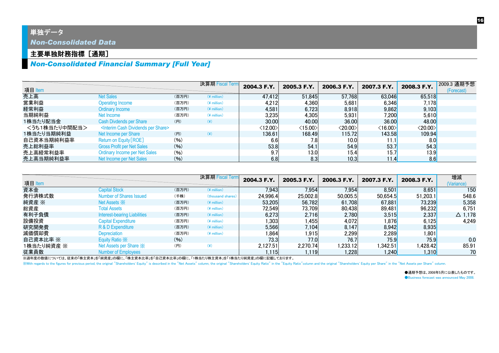### 単独データ

*Non-Consolidated Data*

#### 主要単独財務指標 [通期]

## *Non-Consolidated Financial Summary [Full Year]*

| 項目 Item       |                                                          |       | 決算期 Fiscal Term | 2004.3 F.Y.               | 2005.3 F.Y.             | 2006.3 F.Y.             | 2007.3 F.Y.             | 2008.3 F.Y.             | 2009.3 通期予想<br>(Forecast) |
|---------------|----------------------------------------------------------|-------|-----------------|---------------------------|-------------------------|-------------------------|-------------------------|-------------------------|---------------------------|
| 売上高           | <b>Net Sales</b>                                         | (百万円) | $(*)$ million)  | 47,412                    | 51,845                  | 57,768                  | 63,046                  | 65,518                  |                           |
| 営業利益          | Operating Income                                         | (百万円) | $(*$ million)   | 4,212                     | 4.360                   | 5,681                   | 6,346                   | 7.178                   |                           |
| 経常利益          | <b>Ordinary Income</b>                                   | (百万円) | $(*$ million)   | 4.581                     | 6,723                   | 8,918                   | 9,862                   | 9,103                   |                           |
| 当期純利益         | Net Income                                               | (百万円) | $(*)$ million)  | 3,235                     | 4,305                   | 5,931                   | 7,200                   | 5,610                   |                           |
| 1株当たり配当金      | Cash Divdends per Share                                  | (H)   | $(\c{4})$       | 30.00                     | 40.00                   | 36.00                   | 36.00                   | 48.00                   |                           |
| <うち1株当たり中間配当> | <interim cash="" dividends="" per="" share=""></interim> |       |                 | $\langle$ 12.00 $\rangle$ | $\langle 15.00 \rangle$ | $\langle 20.00 \rangle$ | $\langle 16.00 \rangle$ | $\langle 20.00 \rangle$ |                           |
| 1株当たり当期純利益    | Net Income per Share                                     | (H)   | $(\c{4})$       | 136.61                    | 168.49                  | 115.72                  | 143.58                  | 109.94                  |                           |
| 自己資本当期純利益率    | Return on Equity [ROE]                                   | (96)  |                 | 6.6                       | 7.8                     | 10.0 <sub>l</sub>       | 11.1                    | 8.0                     |                           |
| 売上総利益率        | <b>Gross Profit per Net Sales</b>                        | (9/6) |                 | 53.8                      | 54.1                    | 54.9                    | 53.7                    | 54.3                    |                           |
| 売上高経常利益率      | <b>Ordinary Income per Net Sales</b>                     | (9/6) |                 | 9.7                       | 13.0                    | 15.4                    | 15.7                    | 13.9                    |                           |
| 売上高当期純利益率     | Net Income per Net Sales                                 | (96)  |                 | 6.8                       | 8.3                     | 10.3                    | 11.4                    | 8.6                     |                           |

| 項目 Item    |                                     |       | 決算期 Fiscal Term       | 2004.3 F.Y. | 2005.3 F.Y. | 2006.3 F.Y. | 2007.3 F.Y. | 2008.3 F.Y.          | 増減<br>(Variance) |
|------------|-------------------------------------|-------|-----------------------|-------------|-------------|-------------|-------------|----------------------|------------------|
| 資本金        | <b>Capital Stock</b>                | (百万円) | $(*)$ million)        | 7,943       | 7,954       | 7,954       | 8,501       | 8,651                | 150              |
| 発行済株式数     | <b>Number of Shares Issued</b>      | (千株)  | (thousand shares)     | 24.996.4    | 25,002.8    | 50,005.5    | 50,654.5    | 51.203.1             | 548.6            |
| 純資産 ※      | Net Assets $\mathbb{X}$             | (百万円) | $(*)$ million)        | 53,205      | 56.782      | 61,708      | 67,881      | <b>73,239</b>        | 5,358            |
| 総資産        | Total Assets                        | (百万円) | $(*)$ million)        | 72,549      | 73,709      | 80,438      | 89,481      | 96,232               | 6,751            |
| 有利子負債      | <b>Interest-bearing Liabilities</b> | (百万円) | $(*$ million)         | 6.273       | 2.716       | 2,780       | 3,515       | 2,337                | $\Delta$ 1,178   |
| 設備投資       | <b>Capital Expenditure</b>          | (百万円) | $(*$ million)         | ,303        | .4551       | 4,072       | 1.876       | 6,125                | 4,249            |
| 研究開発費      | R & D Expenditure                   | (百万円) | $(*$ million)         | 5,566       | 7.104       | 8,147       | 8,942       | 8,935                |                  |
| 減価償却費      | Depreciation                        | (百万円) | $(*)$ million)        | ,864        | .915        | 2,299       | 2,289       | 1,801                |                  |
| 自己資本比率 ※   | Equity Ratio X                      | (96)  |                       | 73.3        | 77.0        | 76.7        | 75.9        | 75.9                 | 0.0              |
| 1株当たり純資産 ※ | Net Assets per Share *              | (H)   | $(\cfrac{\gamma}{2})$ | 2.127.51    | 2,270.74    | 1,233.12    | .342.51     | 1,428.42             | 85.91            |
| 従業員数       | Number of Employees                 |       |                       | 1,115       | l.119l      | ,228        | 1.240       | 1,310 <mark>1</mark> | 70               |

※過年度の数値については、従来の「株主資本」を「純資産」の欄に、「株主資本比率」を「自己資本比率」の欄に、「1株当たり株主資本」を「1株当たり純資産」の欄に記載しております。

With regards to the figures for previous period, the original "Shareholders' Equity" is described in the "Net Assets" column, the original "Shareholders' Equity Ratio" in the "Equity Ratio" column and the original "Shareho

●通期予想は、2008年5月に公表したものです。 **Business forecast was announced May 2008.**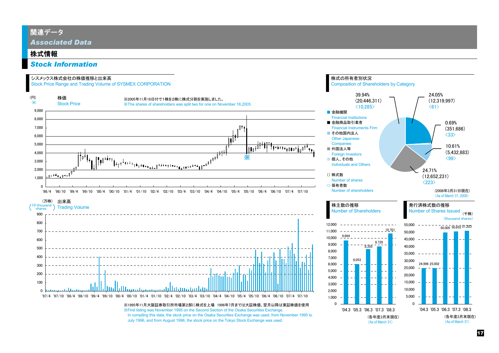#### 関連データ

*Associated Data*

#### 株式情報

#### *Stock Information*

#### シスメックス株式会社の株価推移と出来高

Stock Price Range and Trading Volume of SYSMEX CORPORATION



July 1996, and from August 1996, the stock price on the Tokyo Stock Exchange was used.

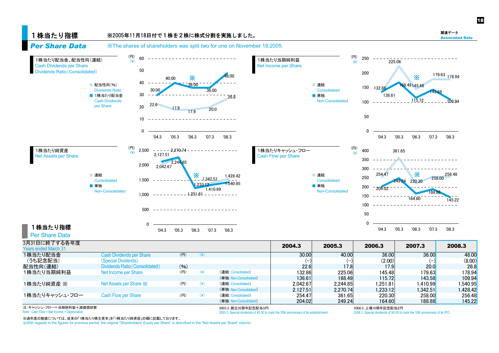

1株当たり指標

| Per Share Data                                                         |                                   |      |           |                                                                                                                |          |          |                      |                                                                             |          |
|------------------------------------------------------------------------|-----------------------------------|------|-----------|----------------------------------------------------------------------------------------------------------------|----------|----------|----------------------|-----------------------------------------------------------------------------|----------|
| 3月31日に終了する各年度<br><b>Years ended March 31</b>                           |                                   |      |           |                                                                                                                | 2004.3   | 2005.3   | 2006.3               | 2007.3                                                                      | 2008.3   |
| 1株当たり配当金                                                               | <b>Cash Dividends per Share</b>   | (H)  | $(\c{4})$ |                                                                                                                | 30,00    | 40.00    | 36,00                | 36.00                                                                       | 48,00    |
| (うち記念配当)                                                               | (Special Dividends)               |      |           |                                                                                                                |          |          | (2.00)               |                                                                             | (8.00)   |
| 配当性向(連結)                                                               | Dividends Ratio (Consolidated)    | (96) |           |                                                                                                                | 22.6     | 17.8     | 17.9                 | 20.0                                                                        | 26.8     |
| 1株当たり当期純利益                                                             | Net Income per Share              | (H)  | (¥)       | (連結:Consolidated)                                                                                              | 132.86   | 225.06   | 145.48               | 179.63                                                                      | 178.94   |
|                                                                        |                                   |      |           | (単独: Non-Consolidated)                                                                                         | 136.61   | 168.49   | 115.72               | <b>143.58</b>                                                               | 109.94   |
| 1株当たり純資産 ※                                                             | Net Assets per Share $\mathbb{X}$ | (H)  | $(\c{4})$ | (連結:Consolidated)                                                                                              | 2.042.67 | 2.244.85 | ا251.81.             | 1.410.99                                                                    | 1.540.95 |
|                                                                        |                                   |      |           | (単独: Non-Consolidated)                                                                                         | 2.127.51 | 2.270.74 | .233.12              | 1.342.51                                                                    | 1.428.42 |
| 1株当たりキャッシュ・フロー                                                         | Cash Flow per Share               | (H)  | $(\c{4})$ | (連結:Consolidated)                                                                                              | 254.47   | 361.65   | 220.30               | 258.00                                                                      | 256.48   |
|                                                                        |                                   |      |           | (単独: Non-Consolidated)                                                                                         | 204.02   | 249.24   | 164.60               | 188.88                                                                      | 145.22   |
| 注:キャッシュ・フロー=当期純利益+減価償却費<br>Note: Cash Flow = Net Income + Depreciation |                                   |      |           | 2003.3: 創立35周年記念配当3円<br>2003.3 : Special dividends of ¥3.00 to mark the 35th anniversary of its establishment. |          |          | 2006.3: 上場10周年記念配当2円 | 2006.3: Special dividends of ¥2.00 to mark the 10th anniversary of its IPO. |          |

1,540.95

1,410.99

1,251.81

\_\_\_\_\_\_\_\_\_\_\_\_\_\_\_\_\_\_\_\_\_\_\_\_\_\_\_\_

1,233.12

'05.3 '06.3 '07.3 '08.3

164.60

'05.3 '06.3 '07.3 '08.3

145.22

188.88

204.02

'04.3

■ 単独

Non-Consolidated

※過年度の数値については、従来の「1株当たり株主資本」を「1株当たり純資産」の欄に記載しております。

■ 単独

Non-Consolidated

※With regards to the figures for previous period, the original "Shareholders' Equity per Share" is described in the "Net Assets per Share" column.

 $\Omega$ 

'04.3

500

1,000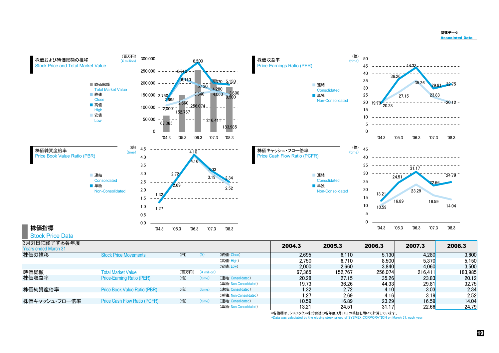#### 関連データAssociated Data



(単独: Non-Consolidated)

(単独: Non-Consolidated)

株価純資産倍率

株価キャッシュ・フロー倍率

\*各指標は、シスメックス株式会社の各年度3月31日の終値を用いて計算しています。

Price Book Value Ratio (PBR) (倍) (time) (連結:Consolidated) (は) 1.32 2.72 4.10 3.03 3.03 2.34<br>(単独:Non-Consolidated) 1.27 2.69 4.16 3.19 3.19 2.52

Price Cash Flow Ratio (PCFR) (倍) (time) (連結:Consolidated) 10.59 16.89 23.29 16.59 14.04

\*Data was calculated by the closing stock prices of SYSMEX CORPORATION on March 31, each year.

2.69 4.16 3.19 2.52

24.51 31.17 22.66 24.79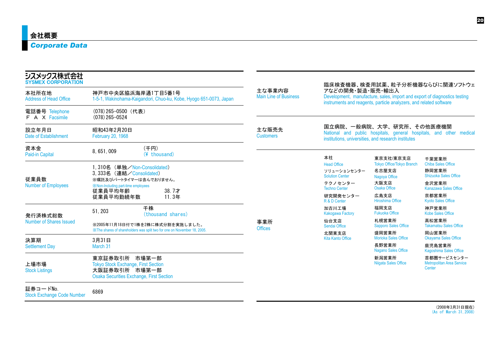## *Corporate Data*

| シスメックス株式会社<br><b>SYSMEX CORPORATION</b>                                                                                                                                                                                |                                                                                                                                 |                                        |                                                                                                                                                                     |                                                                                 | 臨床検査機器、検査用試薬、粒子分析機器ならびに関連ソフトウェ                                      |  |  |
|------------------------------------------------------------------------------------------------------------------------------------------------------------------------------------------------------------------------|---------------------------------------------------------------------------------------------------------------------------------|----------------------------------------|---------------------------------------------------------------------------------------------------------------------------------------------------------------------|---------------------------------------------------------------------------------|---------------------------------------------------------------------|--|--|
| 本社所在地<br>神戸市中央区脇浜海岸通1丁目5番1号<br><b>Address of Head Office</b><br>1-5-1, Wakinohama-Kaigandori, Chuo-ku, Kobe, Hyogo 651-0073, Japan                                                                                     |                                                                                                                                 | 主な事業内容<br><b>Main Line of Business</b> | アなどの開発・製造・販売・輸出入<br>Development, manufacture, sales, import and export of diagnostics testing<br>instruments and reagents, particle analyzers, and related software |                                                                                 |                                                                     |  |  |
| 電話番号 Telephone<br>F A X Facsimile                                                                                                                                                                                      | (078) 265-0500 (代表)<br>$(078)$ 265-0524                                                                                         |                                        |                                                                                                                                                                     |                                                                                 |                                                                     |  |  |
| 設立年月日<br>Date of Establishment                                                                                                                                                                                         | 昭和43年2月20日<br>February 20, 1968                                                                                                 | 主な販売先<br><b>Customers</b>              |                                                                                                                                                                     | 国立病院、一般病院、大学、研究所、その他医療機関<br>institutions, universities, and research institutes | National and public hospitals, general hospitals, and other medical |  |  |
| 資本金<br>Paid-in Capital                                                                                                                                                                                                 | (千円)<br>8,651,009<br>(¥ thousand)                                                                                               |                                        | 本社                                                                                                                                                                  | 東京支社/東京支店                                                                       | 千葉営業所                                                               |  |  |
| 1,310名 (単独/Non-Consolidated)<br>3.333名 (連結/Consolidated)<br>従業員数<br>※嘱託及びパートタイマーは含んでおりません。<br><b>Number of Employees</b><br><b>X</b> Non-Including part-time employees<br>38.7才<br>従業員平均年齢<br>従業員平均勤続年数<br>11.3年<br>千株 |                                                                                                                                 |                                        | <b>Head Office</b><br>ソリューションセンター<br><b>Solution Center</b>                                                                                                         | <b>Tokyo Office/Tokyo Branch</b><br>名古屋支店<br>Nagoya Office                      | <b>Chiba Sales Office</b><br>静岡営業所<br><b>Shizuoka Sales Office</b>  |  |  |
|                                                                                                                                                                                                                        |                                                                                                                                 |                                        | テクノセンター<br><b>Techno Center</b>                                                                                                                                     | 大阪支店<br><b>Osaka Office</b>                                                     | 金沢営業所<br><b>Kanazawa Sales Office</b>                               |  |  |
|                                                                                                                                                                                                                        |                                                                                                                                 | 研究開発センター<br>R & D Center               | 広島支店<br>Hiroshima Office                                                                                                                                            | 京都営業所<br><b>Kyoto Sales Office</b>                                              |                                                                     |  |  |
| 発行済株式総数                                                                                                                                                                                                                | 51, 203<br>(thousand shares)                                                                                                    |                                        | 加古川工場<br><b>Kakogawa Factory</b>                                                                                                                                    | 福岡支店<br><b>Fukuoka Office</b>                                                   | 神戸営業所<br><b>Kobe Sales Office</b>                                   |  |  |
| Number of Shares Issued                                                                                                                                                                                                | ※2005年11月18日付で1株を2株に株式分割を実施しました。                                                                                                | 事業所<br><b>Offices</b>                  | 仙台支店<br>Sendai Office                                                                                                                                               | 札幌営業所<br><b>Sapporo Sales Office</b>                                            | 高松営業所<br><b>Takamatsu Sales Office</b>                              |  |  |
| 決算期                                                                                                                                                                                                                    | XX: The shares of shareholders was split two for one on November 18, 2005.<br>3月31日                                             |                                        | 北関東支店<br><b>Kita Kanto Office</b>                                                                                                                                   | 盛岡営業所<br><b>Morioka Sales Office</b>                                            | 岡山営業所<br>Okayama Sales Office                                       |  |  |
| <b>Settlement Day</b>                                                                                                                                                                                                  | March 31                                                                                                                        |                                        |                                                                                                                                                                     | 長野営業所<br><b>Nagano Sales Office</b>                                             | 鹿児島営業所<br>Kagoshima Sales Office                                    |  |  |
| 上場市場<br><b>Stock Listings</b>                                                                                                                                                                                          | 東京証券取引所 市場第一部<br><b>Tokyo Stock Exchange, First Section</b><br>大阪証券取引所 市場第一部<br><b>Osaka Securities Exchange, First Section</b> |                                        |                                                                                                                                                                     | 新潟営業所<br><b>Niigata Sales Office</b>                                            | 首都圏サービスセンター<br><b>Metropolitan Area Service</b><br><b>Center</b>    |  |  |
| 証券コードNo.<br><b>Stock Exchange Code Number</b>                                                                                                                                                                          | 6869                                                                                                                            |                                        |                                                                                                                                                                     |                                                                                 |                                                                     |  |  |

(2008年3月31日現在) (As of March 31,2008)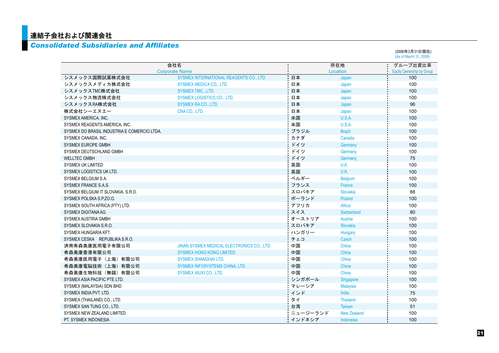## 連結子会社および関連会社

#### *Consolidated Subsidiaries and Affiliates*

|                                             |                                            |          |                    | (As of March 31, 2008)    |
|---------------------------------------------|--------------------------------------------|----------|--------------------|---------------------------|
|                                             | 会社名                                        |          | 所在地                | グループ出資比率                  |
|                                             | <b>Corporate Name</b>                      |          | Location           | Equity Qwnership by Group |
| シスメックス国際試薬株式会社                              | SYSMEX INTERNATIONAL REAGENTS CO., LTD.    | 日本       | Japan              | 100                       |
| シスメックスメディカ株式会社                              | <b>SYSMEX MEDICA CO., LTD.</b>             | 日本       | Japan              | 100                       |
| シスメックスTMC株式会社                               | <b>SYSMEX TMC., LTD.</b>                   | 日本       | Japan              | 100                       |
| シスメックス物流株式会社                                | <b>SYSMEX LOGISTICS CO., LTD.</b>          | 日本       | Japan              | 100                       |
| シスメックスRA株式会社                                | SYSMEX RACO., LTD.                         | 日本       | Japan              | 96                        |
| 株式会社シーエヌエー                                  | CNACO., LTD.                               | 日本       | Japan              | 100                       |
| SYSMEX AMERICA, INC.                        |                                            | 米国       | U.S.A.             | 100                       |
| SYSMEX REAGENTS AMERICA, INC.               |                                            | 米国       | <b>U.S.A.</b>      | 100                       |
| SYSMEX DO BRASIL INDUSTRIA E COMERCIO LTDA. |                                            | ブラジル     | <b>Brazil</b>      | 100                       |
| SYSMEX CANADA, INC.                         |                                            | カナダ      | Canada             | 100                       |
| <b>SYSMEX EUROPE GMBH</b>                   |                                            | ドイツ      | Germany            | 100                       |
| SYSMEX DEUTSCHLAND GMBH                     |                                            | ドイツ      | Germany            | 100                       |
| <b>WELLTEC GMBH</b>                         |                                            | ドイツ      | Germany            | 75                        |
| <b>SYSMEX UK LIMITED</b>                    |                                            | 英国       | U.K.               | 100                       |
| SYSMEX LOGISTICS UK LTD.                    |                                            | 英国       | U.K.               | 100                       |
| SYSMEX BELGIUM S.A.                         |                                            | ベルギー     | <b>Belgium</b>     | 100                       |
| SYSMEX FRANCE S.A.S.                        |                                            | フランス     | France             | 100                       |
| SYSMEX BELGIUM IT SLOVAKIA, S.R.O.          |                                            | スロバキア    | Slovakia           | 88                        |
| SYSMEX POLSKA S.P.ZO.O.                     |                                            | ポーランド    | Poland             | 100                       |
| SYSMEX SOUTH AFRICA (PTY) LTD.              |                                            | アフリカ     | Africa             | 100                       |
| <b>SYSMEX DIGITANA AG</b>                   |                                            | スイス      | Switzerland        | 80                        |
| SYSMEX AUSTRIA GMBH                         |                                            | オーストリア   | Austria            | 100                       |
| SYSMEX SLOVAKIA S.R.O.                      |                                            | スロバキア    | Slovakia           | 100                       |
| SYSMEX HUNGARIA KFT.                        |                                            | ハンガリー    | Hungary            | 100                       |
| SYSMEX CESKA REPUBLIKA S.R.O.               |                                            | チェコ      | Czech              | 100                       |
| 済南希森美康医用電子有限公司                              | JINAN SYSMEX MEDICAL ELECTRONICS CO., LTD. | 中国       | China              | 100                       |
| 希森美康香港有限公司                                  | <b>SYSMEX HONG KONG LIMITED</b>            | 中国       | China              | 100                       |
| 希森美康医用電子(上海)有限公司                            | <b>SYSMEX SHANGHAI LTD.</b>                | 中国       | China              | 100                       |
| 希森美康電脳技術(上海)有限公司                            | SYSMEX INFOSYSTEMS CHINA, LTD.             | 中国       | China              | 100                       |
| 希森美康生物科技(無錫)有限公司                            | <b>SYSMEX WUXI CO., LTD.</b>               | 中国       | China              | 100                       |
| SYSMEX ASIA PACIFIC PTE LTD.                |                                            | シンガポール   | Singapore          | 100                       |
| SYSMEX (MALAYSIA) SDN BHD                   |                                            | マレーシア    | <b>Malaysia</b>    | 100                       |
| SYSMEX INDIA PVT. LTD.                      |                                            | インド      | India              | 75                        |
| SYSMEX (THAILAND) CO., LTD.                 |                                            | タイ       | Thailand           | 100                       |
| SYSMEX SAN TUNG CO., LTD.                   |                                            | 台湾       | <b>Taiwan</b>      | 51                        |
| SYSMEX NEW ZEALAND LIMITED                  |                                            | ニュージーランド | <b>New Zealand</b> | 100                       |
| PT. SYSMEX INDONESIA                        |                                            | インドネシア   | Indonesia          | 100                       |

(2008年3月31日現在)